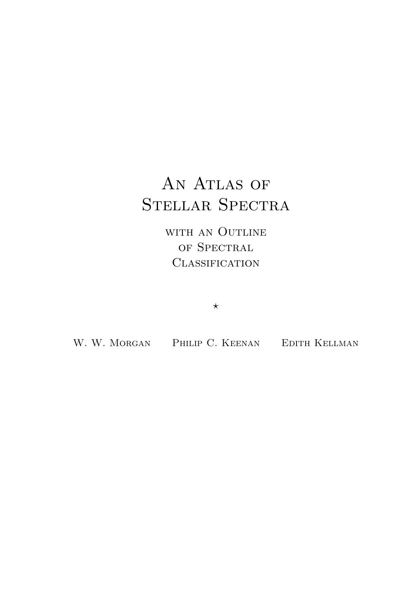# AN ATLAS OF STELLAR SPECTRA

with an Outline OF SPECTRAL CLASSIFICATION

 $\star$ 

W. W. MORGAN PHILIP C. KEENAN EDITH KELLMAN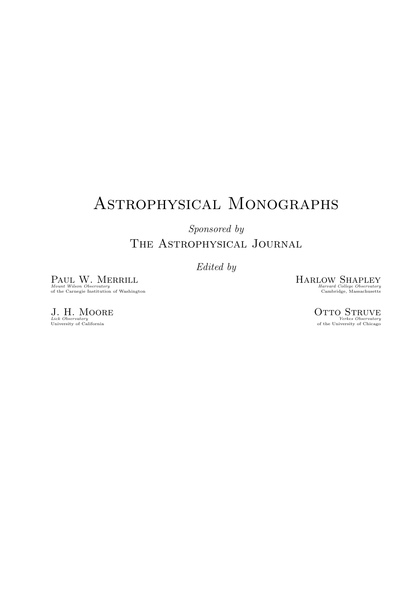# Astrophysical Monographs

Sponsored by THE ASTROPHYSICAL JOURNAL

Edited by

Paul W. Merrill Harlow Shapley Mount Wilson Observatory Harvard College Observatory of the Carnegie Institution of Washington Cambridge, Massachusetts

J. H. MOORE OTTO STRUVE Lick Observatory *Yerkes Observatory*<br>
University of California of the University of Chicago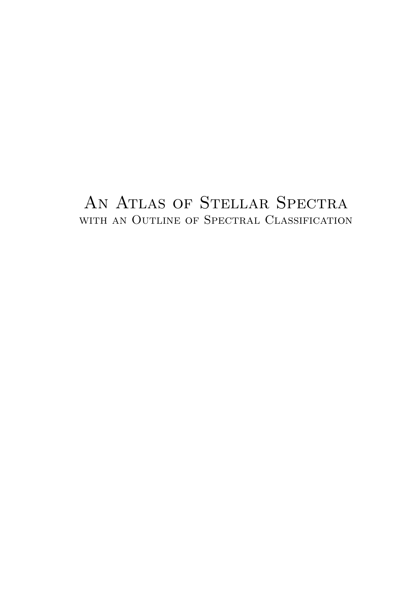# AN ATLAS OF STELLAR SPECTRA with an Outline of Spectral Classification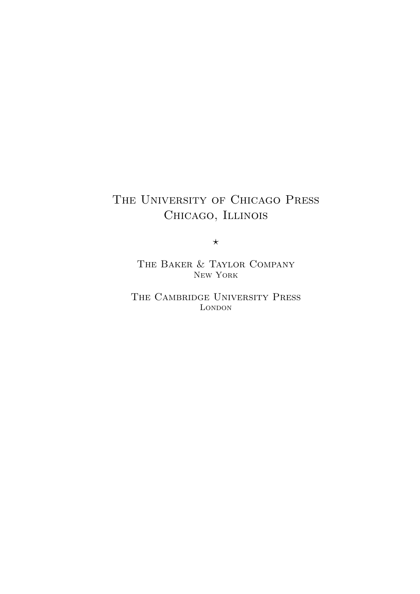# THE UNIVERSITY OF CHICAGO PRESS Chicago, Illinois

 $\star$ 

The Baker & Taylor Company New York

THE CAMBRIDGE UNIVERSITY PRESS LONDON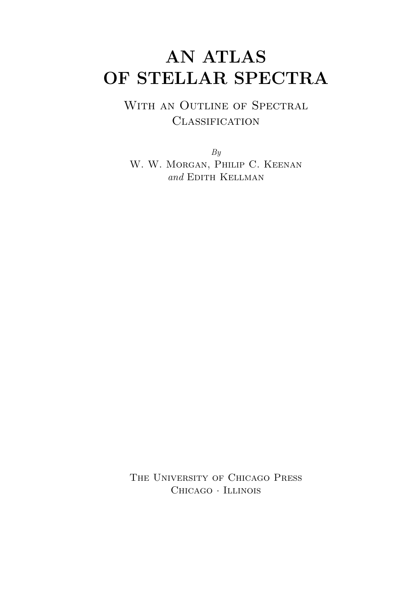# AN ATLAS OF STELLAR SPECTRA

WITH AN OUTLINE OF SPECTRAL CLASSIFICATION

 $By$ W. W. MORGAN, PHILIP C. KEENAN and EDITH KELLMAN

THE UNIVERSITY OF CHICAGO PRESS Chicago · Illinois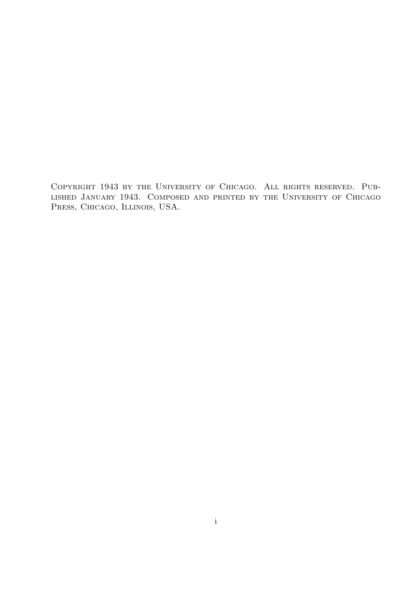Copyright 1943 by the University of Chicago. All rights reserved. Published January 1943. Composed and printed by the University of Chicago PRESS, CHICAGO, ILLINOIS, USA.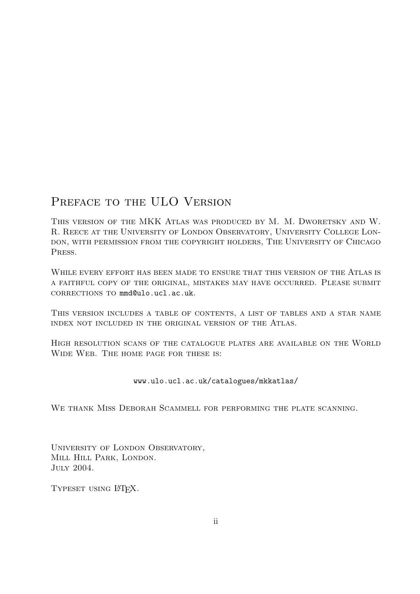## PREFACE TO THE ULO VERSION

This version of the MKK Atlas was produced by M. M. Dworetsky and W. R. Reece at the University of London Observatory, University College London, with permission from the copyright holders, The University of Chicago Press.

WHILE EVERY EFFORT HAS BEEN MADE TO ENSURE THAT THIS VERSION OF THE ATLAS IS a faithful copy of the original, mistakes may have occurred. Please submit corrections to mmd@ulo.ucl.ac.uk.

This version includes a table of contents, a list of tables and a star name index not included in the original version of the Atlas.

High resolution scans of the catalogue plates are available on the World WIDE WEB. THE HOME PAGE FOR THESE IS:

#### www.ulo.ucl.ac.uk/catalogues/mkkatlas/

We thank Miss Deborah Scammell for performing the plate scanning.

UNIVERSITY OF LONDON OBSERVATORY, MILL HILL PARK, LONDON. July 2004.

TYPESET USING LATEX.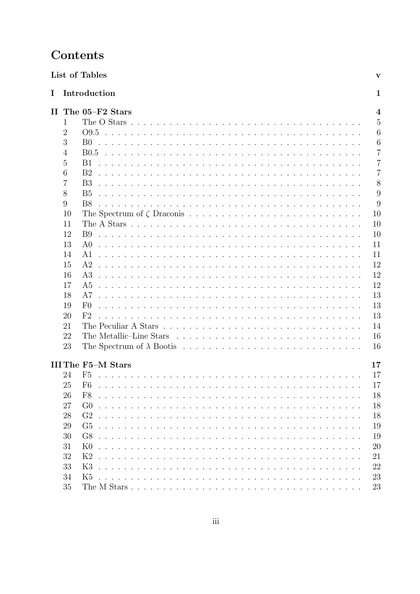# Contents

|    |                | List of Tables                                                                                                                                                                                                                                      | $\mathbf{v}$            |
|----|----------------|-----------------------------------------------------------------------------------------------------------------------------------------------------------------------------------------------------------------------------------------------------|-------------------------|
| Ι. |                | Introduction                                                                                                                                                                                                                                        | 1                       |
|    |                | II The 05-F2 Stars                                                                                                                                                                                                                                  | $\overline{\mathbf{4}}$ |
|    | 1              |                                                                                                                                                                                                                                                     | $\overline{5}$          |
|    | 2              | O9.5                                                                                                                                                                                                                                                | 6                       |
|    | 3              | B <sub>0</sub>                                                                                                                                                                                                                                      | 6                       |
|    | 4              | <b>B0.5</b><br><u>. In the second contract of the second contract of the second contract of the second contract of the second contract of the second contract of the second contract of the second contract of the second contract of the secon</u> | $\overline{7}$          |
|    | $\overline{5}$ | B1                                                                                                                                                                                                                                                  | $\overline{7}$          |
|    | 6              | B <sub>2</sub>                                                                                                                                                                                                                                      | $\overline{7}$          |
|    | 7              | B <sub>3</sub>                                                                                                                                                                                                                                      | 8                       |
|    | 8              | B <sub>5</sub>                                                                                                                                                                                                                                      | 9                       |
|    | 9              | B <sub>8</sub>                                                                                                                                                                                                                                      | 9                       |
|    | 10             |                                                                                                                                                                                                                                                     | 10                      |
|    | 11             |                                                                                                                                                                                                                                                     | 10                      |
|    | 12             | B9                                                                                                                                                                                                                                                  | 10                      |
|    | 13             | A <sub>0</sub>                                                                                                                                                                                                                                      | 11                      |
|    | 14             | A1                                                                                                                                                                                                                                                  | 11                      |
|    | 15             | A2                                                                                                                                                                                                                                                  | 12                      |
|    | 16             | A3                                                                                                                                                                                                                                                  | 12                      |
|    | 17             | A5                                                                                                                                                                                                                                                  | 12                      |
|    | 18             | A7                                                                                                                                                                                                                                                  | 13                      |
|    | 19             | F <sub>0</sub>                                                                                                                                                                                                                                      | 13                      |
|    | 20             | F <sub>2</sub>                                                                                                                                                                                                                                      | 13                      |
|    | 21             |                                                                                                                                                                                                                                                     | 14                      |
|    | 22             |                                                                                                                                                                                                                                                     | 16                      |
|    | 23             |                                                                                                                                                                                                                                                     | 16                      |
|    |                |                                                                                                                                                                                                                                                     |                         |
|    |                | <b>IIIThe F5-M Stars</b>                                                                                                                                                                                                                            | 17                      |
|    | 24             | F5                                                                                                                                                                                                                                                  | 17                      |
|    | 25             | F6                                                                                                                                                                                                                                                  | 17                      |
|    | 26             | F8                                                                                                                                                                                                                                                  | 18                      |
|    | 27             | G <sub>0</sub>                                                                                                                                                                                                                                      | 18                      |
|    | 28             | G <sub>2</sub>                                                                                                                                                                                                                                      | 18                      |
|    | 29             | G5                                                                                                                                                                                                                                                  | 19                      |
|    | 30             | G8                                                                                                                                                                                                                                                  | 19                      |
|    | 31             | K <sub>0</sub>                                                                                                                                                                                                                                      | 20                      |
|    | 32             | K2                                                                                                                                                                                                                                                  | 21                      |
|    | 33             | K3                                                                                                                                                                                                                                                  | 22                      |
|    | 34             | K5                                                                                                                                                                                                                                                  | 23                      |
|    | 35             |                                                                                                                                                                                                                                                     | 23                      |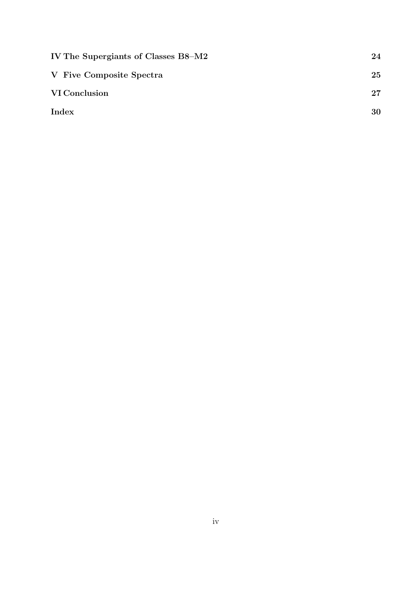| IV The Supergiants of Classes B8–M2 | 24 |
|-------------------------------------|----|
| V Five Composite Spectra            | 25 |
| VI Conclusion                       | 27 |
| Index                               | 30 |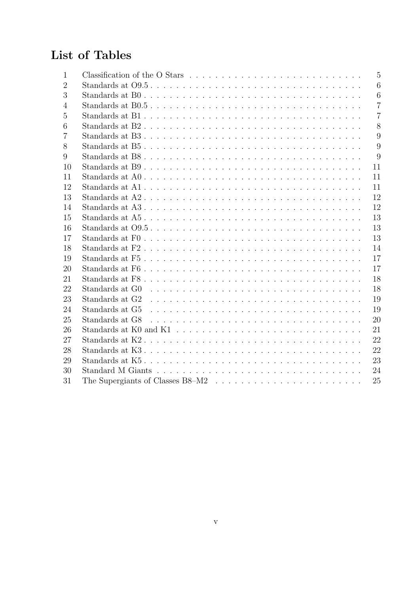# List of Tables

| 1              | $\overline{5}$                                                                                                            |
|----------------|---------------------------------------------------------------------------------------------------------------------------|
| $\overline{2}$ | 6                                                                                                                         |
| 3              | 6                                                                                                                         |
| 4              | $\overline{7}$<br>Standards at $B0.5 \ldots \ldots \ldots \ldots \ldots \ldots \ldots \ldots \ldots \ldots \ldots \ldots$ |
| 5              | $\overline{7}$                                                                                                            |
| 6              | 8                                                                                                                         |
| 7              | 9                                                                                                                         |
| 8              | 9                                                                                                                         |
| 9              | 9                                                                                                                         |
| 10             | 11                                                                                                                        |
| 11             | 11                                                                                                                        |
| 12             | 11                                                                                                                        |
| 13             | 12                                                                                                                        |
| 14             | 12                                                                                                                        |
| 15             | 13                                                                                                                        |
| 16             | 13<br>Standards at $09.5 \ldots \ldots \ldots \ldots \ldots \ldots \ldots \ldots \ldots \ldots \ldots$                    |
| 17             | 13                                                                                                                        |
| 18             | 14                                                                                                                        |
| 19             | 17                                                                                                                        |
| 20             | 17                                                                                                                        |
| 21             | 18                                                                                                                        |
| 22             | 18                                                                                                                        |
| 23             | 19                                                                                                                        |
| 24             | 19                                                                                                                        |
| 25             | 20                                                                                                                        |
| 26             | Standards at K0 and K1 $\dots \dots \dots \dots \dots \dots \dots \dots \dots \dots \dots \dots$<br>21                    |
| 27             | 22                                                                                                                        |
| 28             | 22                                                                                                                        |
| 29             | 23                                                                                                                        |
| 30             | 24                                                                                                                        |
| 31             | 25                                                                                                                        |
|                |                                                                                                                           |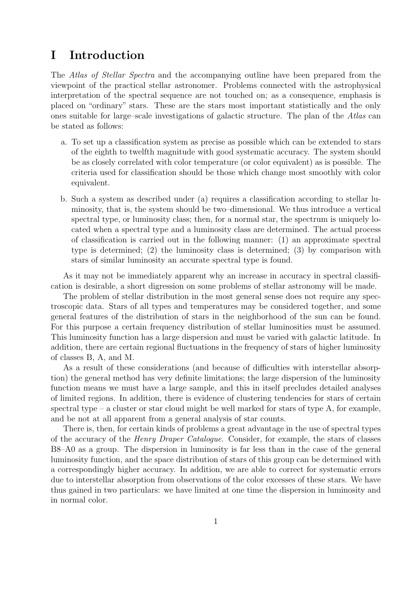### I Introduction

The Atlas of Stellar Spectra and the accompanying outline have been prepared from the viewpoint of the practical stellar astronomer. Problems connected with the astrophysical interpretation of the spectral sequence are not touched on; as a consequence, emphasis is placed on "ordinary" stars. These are the stars most important statistically and the only ones suitable for large–scale investigations of galactic structure. The plan of the Atlas can be stated as follows:

- a. To set up a classification system as precise as possible which can be extended to stars of the eighth to twelfth magnitude with good systematic accuracy. The system should be as closely correlated with color temperature (or color equivalent) as is possible. The criteria used for classification should be those which change most smoothly with color equivalent.
- b. Such a system as described under (a) requires a classification according to stellar luminosity, that is, the system should be two–dimensional. We thus introduce a vertical spectral type, or luminosity class; then, for a normal star, the spectrum is uniquely located when a spectral type and a luminosity class are determined. The actual process of classification is carried out in the following manner: (1) an approximate spectral type is determined; (2) the luminosity class is determined; (3) by comparison with stars of similar luminosity an accurate spectral type is found.

As it may not be immediately apparent why an increase in accuracy in spectral classification is desirable, a short digression on some problems of stellar astronomy will be made.

The problem of stellar distribution in the most general sense does not require any spectroscopic data. Stars of all types and temperatures may be considered together, and some general features of the distribution of stars in the neighborhood of the sun can be found. For this purpose a certain frequency distribution of stellar luminosities must be assumed. This luminosity function has a large dispersion and must be varied with galactic latitude. In addition, there are certain regional fluctuations in the frequency of stars of higher luminosity of classes B, A, and M.

As a result of these considerations (and because of difficulties with interstellar absorption) the general method has very definite limitations; the large dispersion of the luminosity function means we must have a large sample, and this in itself precludes detailed analyses of limited regions. In addition, there is evidence of clustering tendencies for stars of certain spectral type – a cluster or star cloud might be well marked for stars of type  $A$ , for example, and be not at all apparent from a general analysis of star counts.

There is, then, for certain kinds of problems a great advantage in the use of spectral types of the accuracy of the Henry Draper Catalogue. Consider, for example, the stars of classes B8–A0 as a group. The dispersion in luminosity is far less than in the case of the general luminosity function, and the space distribution of stars of this group can be determined with a correspondingly higher accuracy. In addition, we are able to correct for systematic errors due to interstellar absorption from observations of the color excesses of these stars. We have thus gained in two particulars: we have limited at one time the dispersion in luminosity and in normal color.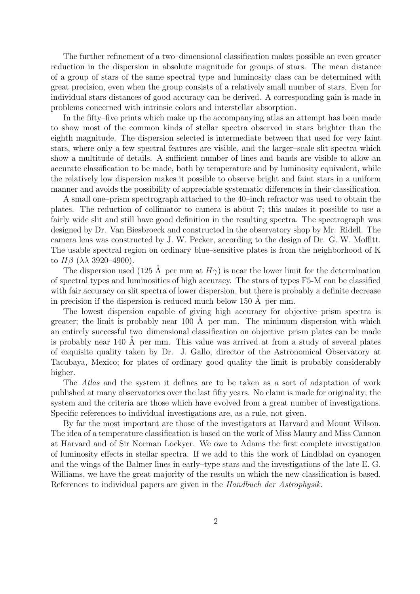The further refinement of a two–dimensional classification makes possible an even greater reduction in the dispersion in absolute magnitude for groups of stars. The mean distance of a group of stars of the same spectral type and luminosity class can be determined with great precision, even when the group consists of a relatively small number of stars. Even for individual stars distances of good accuracy can be derived. A corresponding gain is made in problems concerned with intrinsic colors and interstellar absorption.

In the fifty–five prints which make up the accompanying atlas an attempt has been made to show most of the common kinds of stellar spectra observed in stars brighter than the eighth magnitude. The dispersion selected is intermediate between that used for very faint stars, where only a few spectral features are visible, and the larger–scale slit spectra which show a multitude of details. A sufficient number of lines and bands are visible to allow an accurate classification to be made, both by temperature and by luminosity equivalent, while the relatively low dispersion makes it possible to observe bright and faint stars in a uniform manner and avoids the possibility of appreciable systematic differences in their classification.

A small one–prism spectrograph attached to the 40–inch refractor was used to obtain the plates. The reduction of collimator to camera is about 7; this makes it possible to use a fairly wide slit and still have good definition in the resulting spectra. The spectrograph was designed by Dr. Van Biesbroeck and constructed in the observatory shop by Mr. Ridell. The camera lens was constructed by J. W. Pecker, according to the design of Dr. G. W. Moffitt. The usable spectral region on ordinary blue–sensitive plates is from the neighborhood of K to  $H\beta$  ( $\lambda\lambda$  3920–4900).

The dispersion used (125 Å per mm at  $H\gamma$ ) is near the lower limit for the determination of spectral types and luminosities of high accuracy. The stars of types F5-M can be classified with fair accuracy on slit spectra of lower dispersion, but there is probably a definite decrease in precision if the dispersion is reduced much below  $150 \text{ A}$  per mm.

The lowest dispersion capable of giving high accuracy for objective–prism spectra is greater; the limit is probably near  $100 \text{ Å}$  per mm. The minimum dispersion with which an entirely successful two–dimensional classification on objective–prism plates can be made is probably near 140 Å per mm. This value was arrived at from a study of several plates of exquisite quality taken by Dr. J. Gallo, director of the Astronomical Observatory at Tacubaya, Mexico; for plates of ordinary good quality the limit is probably considerably higher.

The Atlas and the system it defines are to be taken as a sort of adaptation of work published at many observatories over the last fifty years. No claim is made for originality; the system and the criteria are those which have evolved from a great number of investigations. Specific references to individual investigations are, as a rule, not given.

By far the most important are those of the investigators at Harvard and Mount Wilson. The idea of a temperature classification is based on the work of Miss Maury and Miss Cannon at Harvard and of Sir Norman Lockyer. We owe to Adams the first complete investigation of luminosity effects in stellar spectra. If we add to this the work of Lindblad on cyanogen and the wings of the Balmer lines in early–type stars and the investigations of the late E. G. Williams, we have the great majority of the results on which the new classification is based. References to individual papers are given in the Handbuch der Astrophysik.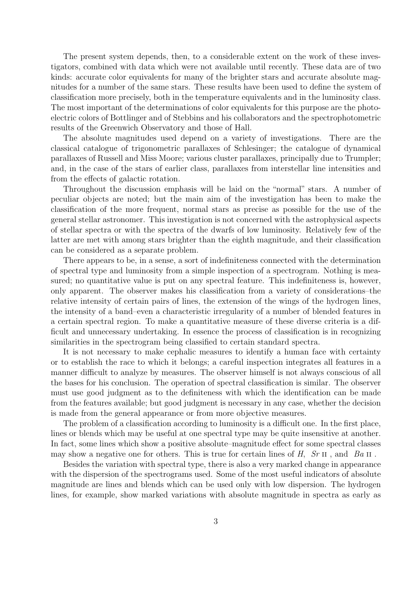The present system depends, then, to a considerable extent on the work of these investigators, combined with data which were not available until recently. These data are of two kinds: accurate color equivalents for many of the brighter stars and accurate absolute magnitudes for a number of the same stars. These results have been used to define the system of classification more precisely, both in the temperature equivalents and in the luminosity class. The most important of the determinations of color equivalents for this purpose are the photoelectric colors of Bottlinger and of Stebbins and his collaborators and the spectrophotometric results of the Greenwich Observatory and those of Hall.

The absolute magnitudes used depend on a variety of investigations. There are the classical catalogue of trigonometric parallaxes of Schlesinger; the catalogue of dynamical parallaxes of Russell and Miss Moore; various cluster parallaxes, principally due to Trumpler; and, in the case of the stars of earlier class, parallaxes from interstellar line intensities and from the effects of galactic rotation.

Throughout the discussion emphasis will be laid on the "normal" stars. A number of peculiar objects are noted; but the main aim of the investigation has been to make the classification of the more frequent, normal stars as precise as possible for the use of the general stellar astronomer. This investigation is not concerned with the astrophysical aspects of stellar spectra or with the spectra of the dwarfs of low luminosity. Relatively few of the latter are met with among stars brighter than the eighth magnitude, and their classification can be considered as a separate problem.

There appears to be, in a sense, a sort of indefiniteness connected with the determination of spectral type and luminosity from a simple inspection of a spectrogram. Nothing is measured; no quantitative value is put on any spectral feature. This indefiniteness is, however, only apparent. The observer makes his classification from a variety of considerations–the relative intensity of certain pairs of lines, the extension of the wings of the hydrogen lines, the intensity of a band–even a characteristic irregularity of a number of blended features in a certain spectral region. To make a quantitative measure of these diverse criteria is a difficult and unnecessary undertaking. In essence the process of classification is in recognizing similarities in the spectrogram being classified to certain standard spectra.

It is not necessary to make cephalic measures to identify a human face with certainty or to establish the race to which it belongs; a careful inspection integrates all features in a manner difficult to analyze by measures. The observer himself is not always conscious of all the bases for his conclusion. The operation of spectral classification is similar. The observer must use good judgment as to the definiteness with which the identification can be made from the features available; but good judgment is necessary in any case, whether the decision is made from the general appearance or from more objective measures.

The problem of a classification according to luminosity is a difficult one. In the first place, lines or blends which may be useful at one spectral type may be quite insensitive at another. In fact, some lines which show a positive absolute–magnitude effect for some spectral classes may show a negative one for others. This is true for certain lines of H,  $Sr$  II, and Ba II.

Besides the variation with spectral type, there is also a very marked change in appearance with the dispersion of the spectrograms used. Some of the most useful indicators of absolute magnitude are lines and blends which can be used only with low dispersion. The hydrogen lines, for example, show marked variations with absolute magnitude in spectra as early as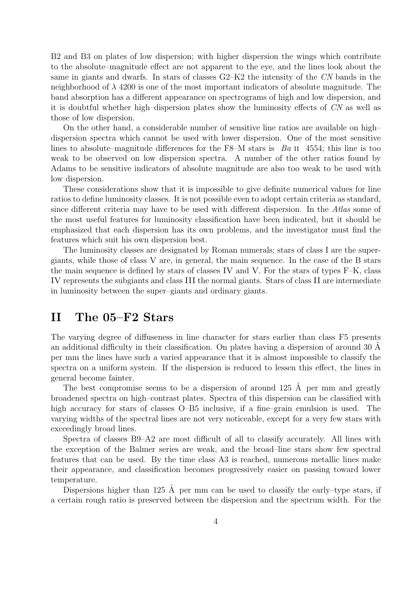B2 and B3 on plates of low dispersion; with higher dispersion the wings which contribute to the absolute–magnitude effect are not apparent to the eye, and the lines look about the same in giants and dwarfs. In stars of classes G2–K2 the intensity of the CN bands in the neighborhood of  $\lambda$  4200 is one of the most important indicators of absolute magnitude. The band absorption has a different appearance on spectrograms of high and low dispersion, and it is doubtful whether high–dispersion plates show the luminosity effects of CN as well as those of low dispersion.

On the other hand, a considerable number of sensitive line ratios are available on high– dispersion spectra which cannot be used with lower dispersion. One of the most sensitive lines to absolute–magnitude differences for the F8–M stars is  $Ba \text{ II}$  4554; this line is too weak to be observed on low dispersion spectra. A number of the other ratios found by Adams to be sensitive indicators of absolute magnitude are also too weak to be used with low dispersion.

These considerations show that it is impossible to give definite numerical values for line ratios to define luminosity classes. It is not possible even to adopt certain criteria as standard, since different criteria may have to be used with different dispersion. In the Atlas some of the most useful features for luminosity classification have been indicated, but it should be emphasized that each dispersion has its own problems, and the investigator must find the features which suit his own dispersion best.

The luminosity classes are designated by Roman numerals; stars of class I are the supergiants, while those of class V are, in general, the main sequence. In the case of the B stars the main sequence is defined by stars of classes IV and V. For the stars of types F–K, class IV represents the subgiants and class III the normal giants. Stars of class II are intermediate in luminosity between the super–giants and ordinary giants.

### II The 05–F2 Stars

The varying degree of diffuseness in line character for stars earlier than class F5 presents an additional difficulty in their classification. On plates having a dispersion of around 30 Å per mm the lines have such a varied appearance that it is almost impossible to classify the spectra on a uniform system. If the dispersion is reduced to lessen this effect, the lines in general become fainter.

The best compromise seems to be a dispersion of around  $125 \text{ Å}$  per mm and greatly broadened spectra on high–contrast plates. Spectra of this dispersion can be classified with high accuracy for stars of classes O–B5 inclusive, if a fine–grain emulsion is used. The varying widths of the spectral lines are not very noticeable, except for a very few stars with exceedingly broad lines.

Spectra of classes B9–A2 are most difficult of all to classify accurately. All lines with the exception of the Balmer series are weak, and the broad–line stars show few spectral features that can be used. By the time class A3 is reached, numerous metallic lines make their appearance, and classification becomes progressively easier on passing toward lower temperature.

Dispersions higher than 125 Å per mm can be used to classify the early–type stars, if a certain rough ratio is preserved between the dispersion and the spectrum width. For the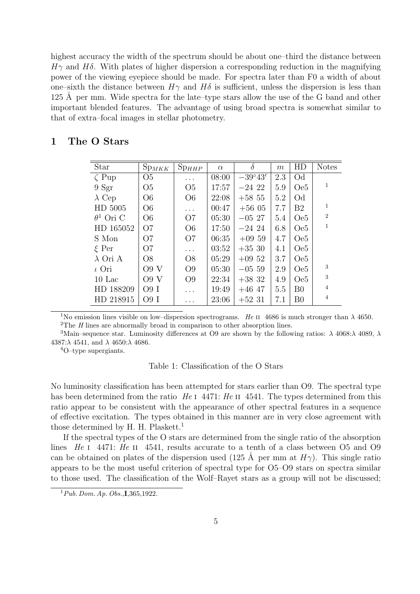highest accuracy the width of the spectrum should be about one–third the distance between  $H\gamma$  and H $\delta$ . With plates of higher dispersion a corresponding reduction in the magnifying power of the viewing eyepiece should be made. For spectra later than F0 a width of about one–sixth the distance between  $H\gamma$  and  $H\delta$  is sufficient, unless the dispersion is less than 125 Å per mm. Wide spectra for the late–type stars allow the use of the G band and other important blended features. The advantage of using broad spectra is somewhat similar to that of extra–focal images in stellar photometry.

#### 1 The O Stars

| <b>Star</b>                 | $Sp_{MKK}$     | $Sp_{HHP}$     | $\alpha$ | $\delta$         | m   | HD              | <b>Notes</b>   |
|-----------------------------|----------------|----------------|----------|------------------|-----|-----------------|----------------|
| $\zeta$ Pup                 | O <sub>5</sub> | $\cdots$       | 08:00    | $-39^{\circ}43'$ | 2.3 | $\mathrm{Od}$   |                |
| 9 Sgr                       | O <sub>5</sub> | O <sub>5</sub> | 17:57    | $-2422$          | 5.9 | Oe <sub>5</sub> | $\mathbf{1}$   |
| $\lambda$ Cep               | O <sub>6</sub> | O <sub>6</sub> | 22:08    | $+5855$          | 5.2 | $\mathrm{Od}$   |                |
| HD 5005                     | O <sub>6</sub> | $\cdots$       | 00:47    | $+5605$          | 7.7 | B <sub>2</sub>  | $\mathbf{1}$   |
| $\theta$ <sup>1</sup> Ori C | O <sub>6</sub> | O <sub>7</sub> | 05:30    | $-0527$          | 5.4 | Oe <sub>5</sub> | $\overline{2}$ |
| HD 165052                   | O7             | O <sub>6</sub> | 17:50    | $-2424$          | 6.8 | Oe <sub>5</sub> | $\mathbf{1}$   |
| S Mon                       | O7             | O <sub>7</sub> | 06:35    | $+0959$          | 4.7 | Oe <sub>5</sub> |                |
| $\xi$ Per                   | O7             | $\cdots$       | 03:52    | $+3530$          | 4.1 | Oe <sub>5</sub> |                |
| $\lambda$ Ori A             | O8             | O <sub>8</sub> | 05:29    | $+0952$          | 3.7 | Oe <sub>5</sub> |                |
| $\iota$ Ori                 | O9V            | O <sub>9</sub> | 05:30    | $-0559$          | 2.9 | Oe <sub>5</sub> | 3              |
| $10$ Lac                    | O9V            | O <sub>9</sub> | 22:34    | $+3832$          | 4.9 | Oe <sub>5</sub> | 3              |
| HD 188209                   | O9 I           | .              | 19:49    | $+46$ 47         | 5.5 | B <sub>0</sub>  | $\overline{4}$ |
| HD 218915                   | O9 I           |                | 23:06    | $+5231$          | 7.1 | B <sub>0</sub>  | $\overline{4}$ |

<sup>1</sup>No emission lines visible on low-dispersion spectrograms. He II 4686 is much stronger than  $\lambda$  4650.  $2$ The *H* lines are abnormally broad in comparison to other absorption lines.

<sup>3</sup>Main–sequence star. Luminosity differences at O9 are shown by the following ratios:  $\lambda$  4068: $\lambda$  4089,  $\lambda$ 4387: $\lambda$  4541, and  $\lambda$  4650: $\lambda$  4686.

<sup>4</sup>O–type supergiants.

Table 1: Classification of the O Stars

No luminosity classification has been attempted for stars earlier than O9. The spectral type has been determined from the ratio  $He$  i 4471:  $He$  ii 4541. The types determined from this ratio appear to be consistent with the appearance of other spectral features in a sequence of effective excitation. The types obtained in this manner are in very close agreement with those determined by H. H. Plaskett.<sup>1</sup>

If the spectral types of the O stars are determined from the single ratio of the absorption lines He I 4471: He II 4541, results accurate to a tenth of a class between O5 and O9 can be obtained on plates of the dispersion used (125 Å per mm at  $H\gamma$ ). This single ratio appears to be the most useful criterion of spectral type for O5–O9 stars on spectra similar to those used. The classification of the Wolf–Rayet stars as a group will not be discussed;

 $1$  Pub. Dom. Ap. Obs., I, 365, 1922.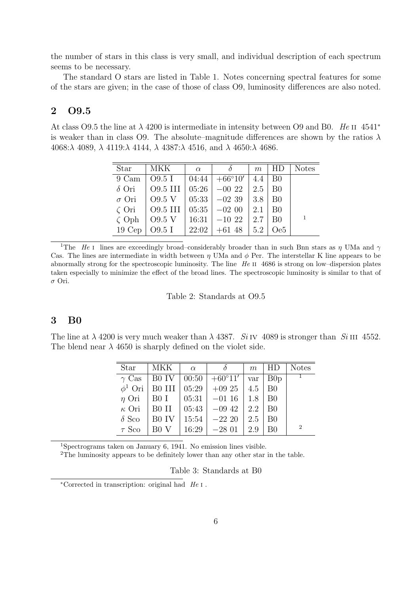the number of stars in this class is very small, and individual description of each spectrum seems to be necessary.

The standard O stars are listed in Table 1. Notes concerning spectral features for some of the stars are given; in the case of those of class O9, luminosity differences are also noted.

#### 2 O9.5

At class O9.5 the line at  $\lambda$  4200 is intermediate in intensity between O9 and B0. He II 4541<sup>\*</sup> is weaker than in class O9. The absolute–magnitude differences are shown by the ratios  $\lambda$  $4068:\lambda 4089, \lambda 4119:\lambda 4144, \lambda 4387:\lambda 4516, \lambda 4650:\lambda 4686.$ 

| <b>Star</b>  | MKK.                  | $\alpha$ |                  | m   | HD             | <b>Notes</b> |
|--------------|-----------------------|----------|------------------|-----|----------------|--------------|
| 9 Cam        | O9.5 I                | 04:44    | $+66^{\circ}10'$ | 4.4 | <b>B0</b>      |              |
| $\delta$ Ori | O9.5 III              | 05:26    | $-0022$          | 2.5 | B <sub>0</sub> |              |
| $\sigma$ Ori | <b>O9.5 V</b>         | 05:33    | $-0239$          | 3.8 | B <sub>0</sub> |              |
| $\zeta$ Ori  | O9.5 III $\mid$ 05:35 |          | $-0200$          | 2.1 | B <sub>0</sub> |              |
| $\zeta$ Oph  | 09.5 V                | 16:31    | $-1022$          | 2.7 | B <sub>0</sub> |              |
| $19$ Cep     | O9.5 I                | 22:02    | $+61,48$         | 5.2 | Oe5            |              |

<sup>1</sup>The He I lines are exceedingly broad–considerably broader than in such Bnn stars as  $\eta$  UMa and  $\gamma$ Cas. The lines are intermediate in width between  $\eta$  UMa and  $\phi$  Per. The interstellar K line appears to be abnormally strong for the spectroscopic luminosity. The line  $He$  II 4686 is strong on low–dispersion plates taken especially to minimize the effect of the broad lines. The spectroscopic luminosity is similar to that of σ Ori.

Table 2: Standards at O9.5

#### 3 B0

The line at  $\lambda$  4200 is very much weaker than  $\lambda$  4387. Si IV 4089 is stronger than Si III 4552. The blend near  $\lambda$  4650 is sharply defined on the violet side.

| Star         | MKK              | $\alpha$ | $\partial$               | m   | HD             | <b>Notes</b>   |
|--------------|------------------|----------|--------------------------|-----|----------------|----------------|
| $\gamma$ Cas | B0 IV   00:50    |          | $+60^{\circ}11'$         |     | $var \mid B0p$ |                |
| $\phi^1$ Ori |                  |          | B0 III   05:29   $+0925$ | 4.5 | B <sub>0</sub> |                |
| $\eta$ Ori   | B <sub>0</sub> I | 05:31    | $-0116$                  | 1.8 | B <sub>0</sub> |                |
| $\kappa$ Ori | B0 II            | 05:43    | $-0942$                  | 2.2 | B <sub>0</sub> |                |
| $\delta$ Sco | B0 IV            | 15:54    | $-2220$                  | 2.5 | B <sub>0</sub> |                |
| $\tau$ Sco   | B0V              | 16:29    | $-2801$                  | 2.9 | B <sub>0</sub> | $\overline{2}$ |

<sup>1</sup>Spectrograms taken on January 6, 1941. No emission lines visible.

<sup>2</sup>The luminosity appears to be definitely lower than any other star in the table.

Table 3: Standards at B0

 $*$ Corrected in transcription: original had  $He$  I.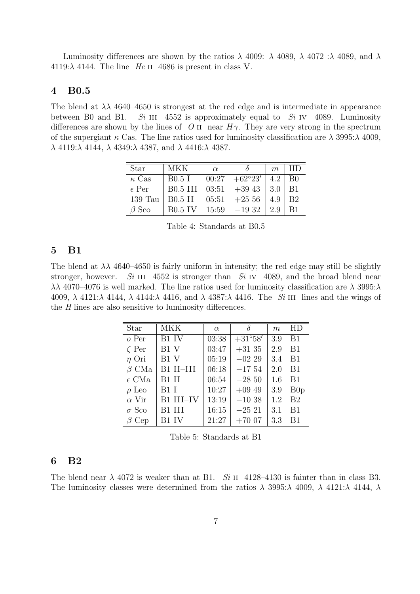Luminosity differences are shown by the ratios  $\lambda$  4009:  $\lambda$  4089,  $\lambda$  4072 : $\lambda$  4089, and  $\lambda$ 4119: $\lambda$  4144. The line He II 4686 is present in class V.

#### 4 B0.5

The blend at  $\lambda\lambda$  4640–4650 is strongest at the red edge and is intermediate in appearance between B0 and B1. Si III 4552 is approximately equal to Si IV 4089. Luminosity differences are shown by the lines of O II near  $H\gamma$ . They are very strong in the spectrum of the supergiant  $\kappa$  Cas. The line ratios used for luminosity classification are  $\lambda$  3995: $\lambda$  4009, λ 4119:λ 4144, λ 4349:λ 4387, and λ 4416:λ 4387.

| <b>Star</b>    | MKK                     | $\alpha$ |                  | m                 | HD             |
|----------------|-------------------------|----------|------------------|-------------------|----------------|
| $\kappa$ Cas   | $B0.5$ I                | 00:27    | $+62^{\circ}23'$ | 4.2               | - BO           |
| $\epsilon$ Per | $B0.5$ III $\mid 03:51$ |          | $+39\;43$        | $\vert 3.0 \vert$ | <b>B</b> 1     |
| 139 Tau        | $B0.5$ II               | 05:51    | $+25.56$         | 4.9               | B <sub>2</sub> |
| $\beta$ Sco    | <b>B0.5 IV</b>          | 15:59    | $-1932$          | 2.9               | B1             |

Table 4: Standards at B0.5

#### 5 B1

The blend at  $\lambda\lambda$  4640–4650 is fairly uniform in intensity; the red edge may still be slightly stronger, however. Si III 4552 is stronger than Si IV 4089, and the broad blend near λλ 4070–4076 is well marked. The line ratios used for luminosity classification are λ 3995:λ 4009,  $\lambda$  4121: $\lambda$  4144,  $\lambda$  4144: $\lambda$  4416, and  $\lambda$  4387: $\lambda$  4416. The Si III lines and the wings of the H lines are also sensitive to luminosity differences.

| <b>Star</b>    | MKK              | $\alpha$ |                  | m   | <b>HD</b>      |
|----------------|------------------|----------|------------------|-----|----------------|
| $o$ Per        | B1 IV            | 03:38    | $+31^{\circ}58'$ | 3.9 | B1             |
| $\zeta$ Per    | B1 V             | 03:47    | $+3135$          | 2.9 | B1             |
| $\eta$ Ori     | B1 V             | 05:19    | $-0229$          | 3.4 | B1             |
| $\beta$ CMa    | $B1$ II $-I$ III | 06:18    | $-1754$          | 2.0 | B1             |
| $\epsilon$ CMa | B1 II            | 06:54    | $-2850$          | 1.6 | B1             |
| $\rho$ Leo     | B1 I             | 10:27    | $+0949$          | 3.9 | B0p            |
| $\alpha$ Vir   | B1 III-IV        | 13:19    | $-1038$          | 1.2 | B <sub>2</sub> |
| $\sigma$ Sco   | B1 III           | 16:15    | $-2521$          | 3.1 | B1             |
| Cep            | B1 IV            | 21:27    | $+70.07$         | 3.3 | B1             |

Table 5: Standards at B1

#### 6 B2

The blend near  $\lambda$  4072 is weaker than at B1. Si II 4128–4130 is fainter than in class B3. The luminosity classes were determined from the ratios  $\lambda$  3995: $\lambda$  4009,  $\lambda$  4121: $\lambda$  4144,  $\lambda$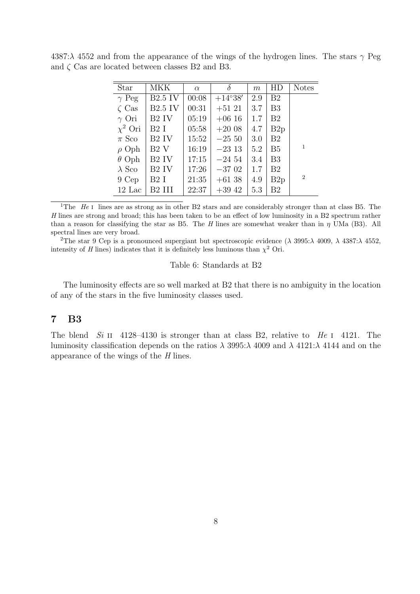| Star           | MKK               | $\alpha$ | $\delta$         | m   | НD             | <b>Notes</b>   |
|----------------|-------------------|----------|------------------|-----|----------------|----------------|
| $\gamma$ Peg   | <b>B2.5 IV</b>    | 00:08    | $+14^{\circ}38'$ | 2.9 | B <sub>2</sub> |                |
| $\zeta$ Cas    | <b>B2.5 IV</b>    | 00:31    | $+5121$          | 3.7 | B <sub>3</sub> |                |
| $\gamma$ Ori   | B <sub>2</sub> IV | 05:19    | $+0616$          | 1.7 | B <sub>2</sub> |                |
| $\chi^2$ Ori   | B2 I              | 05:58    | $+2008$          | 4.7 | B2p            |                |
| $\pi$ Sco      | B <sub>2</sub> IV | 15:52    | $-2550$          | 3.0 | B <sub>2</sub> |                |
| $\rho$ Oph     | B2 V              | 16:19    | $-2313$          | 5.2 | B <sub>5</sub> | 1              |
| $\theta$ Oph   | B <sub>2</sub> IV | 17:15    | $-24,54$         | 3.4 | B <sub>3</sub> |                |
| $\lambda$ Sco  | B <sub>2</sub> IV | 17:26    | $-3702$          | 1.7 | B <sub>2</sub> |                |
| $9 \text{Cep}$ | B2 I              | 21:35    | $+6138$          | 4.9 | B2p            | $\overline{2}$ |
| $12$ Lac       | B2 III            | 22:37    | $+3942$          | 5.3 | B2             |                |
|                |                   |          |                  |     |                |                |

4387: $\lambda$  4552 and from the appearance of the wings of the hydrogen lines. The stars  $\gamma$  Peg and  $\zeta$  Cas are located between classes B2 and B3.

<sup>1</sup>The He<sub>I</sub> lines are as strong as in other B<sub>2</sub> stars and are considerably stronger than at class B<sub>5</sub>. The H lines are strong and broad; this has been taken to be an effect of low luminosity in a B2 spectrum rather than a reason for classifying the star as B5. The H lines are somewhat weaker than in  $\eta$  UMa (B3). All spectral lines are very broad.

<sup>2</sup>The star 9 Cep is a pronounced supergiant but spectroscopic evidence ( $\lambda$  3995: $\lambda$  4009,  $\lambda$  4387: $\lambda$  4552, intensity of H lines) indicates that it is definitely less luminous than  $\chi^2$  Ori.

#### Table 6: Standards at B2

The luminosity effects are so well marked at B2 that there is no ambiguity in the location of any of the stars in the five luminosity classes used.

#### 7 B3

The blend  $Si$  II 4128–4130 is stronger than at class B2, relative to He I 4121. The luminosity classification depends on the ratios  $\lambda$  3995: $\lambda$  4009 and  $\lambda$  4121: $\lambda$  4144 and on the appearance of the wings of the H lines.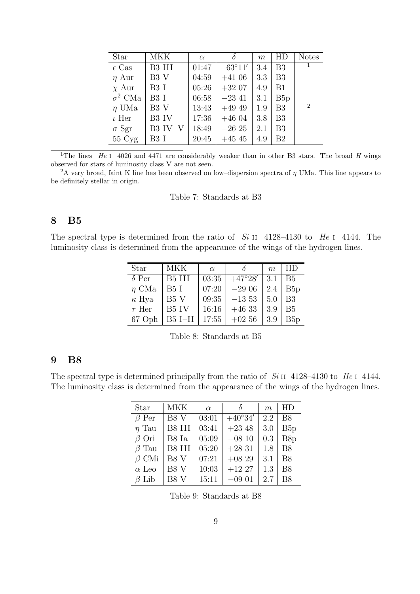| Star                | <b>MKK</b>         | $\alpha$ | $\delta$         | m   | HD             | <b>Notes</b>   |
|---------------------|--------------------|----------|------------------|-----|----------------|----------------|
| $\epsilon$ Cas      | B <sub>3</sub> III | 01:47    | $+63^{\circ}11'$ | 3.4 | B <sub>3</sub> |                |
| $\eta$ Aur          | B <sub>3</sub> V   | 04:59    | $+4106$          | 3.3 | B <sub>3</sub> |                |
| $\chi$ Aur          | B3I                | 05:26    | $+3207$          | 4.9 | B1             |                |
| $\sigma^2$ CMa      | B <sub>3</sub> I   | 06:58    | $-2341$          | 3.1 | B5p            |                |
| $\eta$ UMa          | B <sub>3</sub> V   | 13:43    | $+4949$          | 1.9 | B <sub>3</sub> | $\overline{2}$ |
| $\iota$ Her         | B3 IV              | 17:36    | $+4604$          | 3.8 | B3             |                |
| $\sigma$ Sgr        | B3 IV-V            | 18:49    | $-2625$          | 2.1 | B3             |                |
| $55 \,\mathrm{Cyg}$ | B <sub>3</sub> I   | 20:45    | $+4545$          | 4.9 | B2             |                |

<sup>1</sup>The lines He I 4026 and 4471 are considerably weaker than in other B3 stars. The broad H wings observed for stars of luminosity class V are not seen.

<sup>2</sup>A very broad, faint K line has been observed on low–dispersion spectra of  $\eta$  UMa. This line appears to be definitely stellar in origin.

| Table 7: Standards at B3 |  |
|--------------------------|--|
|--------------------------|--|

#### 8 B5

The spectral type is determined from the ratio of  $Si$  II 4128–4130 to He I 4144. The luminosity class is determined from the appearance of the wings of the hydrogen lines.

| <b>Star</b>  | <b>MKK</b>         | $\alpha$ |                  | m   | HD             |
|--------------|--------------------|----------|------------------|-----|----------------|
| $\delta$ Per | B <sub>5</sub> III | 03:35    | $+47^{\circ}28'$ | 3.1 | B5             |
| $\eta$ CMa   | B5I                | 07:20    | $-2906$          | 2.4 | B5p            |
| $\kappa$ Hya | B5V                | 09:35    | $-1353$          | 5.0 | B <sub>3</sub> |
| $\tau$ Her   | B <sub>5</sub> IV  | 16:16    | $+4633$          | 3.9 | B <sub>5</sub> |
| 67 Oph       | B5 I–II            | 17:55    | $+0256$          | 3.9 | B5p            |

Table 8: Standards at B5

#### 9 B8

The spectral type is determined principally from the ratio of  $Si$  II 4128–4130 to He I 4144. The luminosity class is determined from the appearance of the wings of the hydrogen lines.

| <b>Star</b>  | <b>MKK</b> | $\alpha$ | δ                | m   | HD               |
|--------------|------------|----------|------------------|-----|------------------|
| $\beta$ Per  | B8 V       | 03:01    | $+40^{\circ}34'$ | 2.2 | B <sub>8</sub>   |
| $\eta$ Tau   | B8 III     | 03:41    | $+2348$          | 3.0 | B5p              |
| $\beta$ Ori  | B8 Ia      | 05:09    | $-0810$          | 0.3 | B <sub>8</sub> p |
| $\beta$ Tau  | B8 III     | 05:20    | $+2831$          | 1.8 | B <sub>8</sub>   |
| $\beta$ CMi  | B8 V       | 07:21    | $+0829$          | 3.1 | B <sub>8</sub>   |
| $\alpha$ Leo | B8V        | 10:03    | $+1227$          | 1.3 | B <sub>8</sub>   |
| $\beta$ Lib  | B8 V       | 15:11    | $-0901$          | 2.7 | B8               |

Table 9: Standards at B8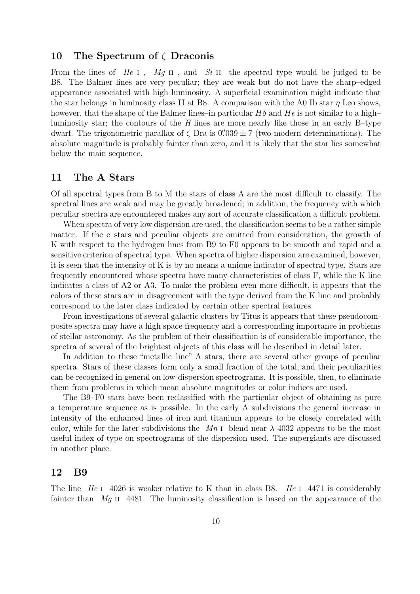#### 10 The Spectrum of ζ Draconis

From the lines of He I, Mg II, and Si II the spectral type would be judged to be B8. The Balmer lines are very peculiar; they are weak but do not have the sharp–edged appearance associated with high luminosity. A superficial examination might indicate that the star belongs in luminosity class II at B8. A comparison with the A0 Ib star  $\eta$  Leo shows, however, that the shape of the Balmer lines–in particular  $H\delta$  and  $H\epsilon$  is not similar to a high– luminosity star; the contours of the  $H$  lines are more nearly like those in an early B-type dwarf. The trigonometric parallax of  $\zeta$  Dra is  $0''039 \pm 7$  (two modern determinations). The absolute magnitude is probably fainter than zero, and it is likely that the star lies somewhat below the main sequence.

#### 11 The A Stars

Of all spectral types from B to M the stars of class A are the most difficult to classify. The spectral lines are weak and may be greatly broadened; in addition, the frequency with which peculiar spectra are encountered makes any sort of accurate classification a difficult problem.

When spectra of very low dispersion are used, the classification seems to be a rather simple matter. If the c–stars and peculiar objects are omitted from consideration, the growth of K with respect to the hydrogen lines from B9 to F0 appears to be smooth and rapid and a sensitive criterion of spectral type. When spectra of higher dispersion are examined, however, it is seen that the intensity of K is by no means a unique indicator of spectral type. Stars are frequently encountered whose spectra have many characteristics of class F, while the K line indicates a class of A2 or A3. To make the problem even more difficult, it appears that the colors of these stars are in disagreement with the type derived from the K line and probably correspond to the later class indicated by certain other spectral features.

From investigations of several galactic clusters by Titus it appears that these pseudocomposite spectra may have a high space frequency and a corresponding importance in problems of stellar astronomy. As the problem of their classification is of considerable importance, the spectra of several of the brightest objects of this class will be described in detail later.

In addition to these "metallic–line" A stars, there are several other groups of peculiar spectra. Stars of these classes form only a small fraction of the total, and their peculiarities can be recognized in general on low-dispersion spectrograms. It is possible, then, to eliminate them from problems in which mean absolute magnitudes or color indices are used.

The B9–F0 stars have been reclassified with the particular object of obtaining as pure a temperature sequence as is possible. In the early A subdivisions the general increase in intensity of the enhanced lines of iron and titanium appears to be closely correlated with color, while for the later subdivisions the Mn I blend near  $\lambda$  4032 appears to be the most useful index of type on spectrograms of the dispersion used. The supergiants are discussed in another place.

#### 12 B9

The line He I 4026 is weaker relative to K than in class B8. He I 4471 is considerably fainter than  $Mq$  II 4481. The luminosity classification is based on the appearance of the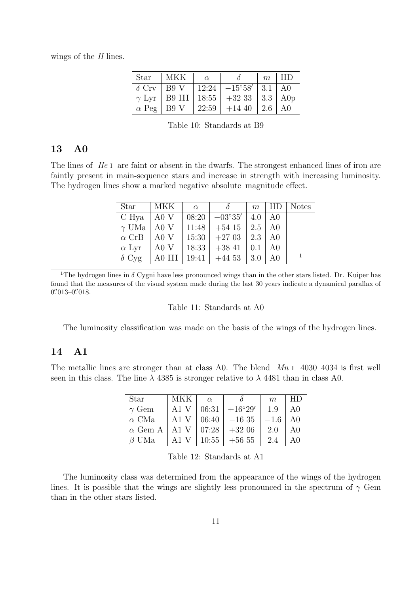wings of the  $H$  lines.

| Star                | MKK                 | $\alpha$ |                                                    | $\mathbb{F}_m$   HD |  |
|---------------------|---------------------|----------|----------------------------------------------------|---------------------|--|
| $\delta$ Crv   B9 V |                     | $12:24$  | $-15^{\circ}58'$   3.1   A0                        |                     |  |
|                     |                     |          | $\gamma$ Lyr   B9 III   18:55   +32 33   3.3   A0p |                     |  |
|                     | $\alpha$ Peg   B9 V | $22:59$  | $+1440$   2.6   A0                                 |                     |  |

Table 10: Standards at B9

#### 13 A0

The lines of He I are faint or absent in the dwarfs. The strongest enhanced lines of iron are faintly present in main-sequence stars and increase in strength with increasing luminosity. The hydrogen lines show a marked negative absolute–magnitude effect.

| <b>Star</b>         | MKK    | $\alpha$ |                        | m   | HD             | <b>Notes</b> |
|---------------------|--------|----------|------------------------|-----|----------------|--------------|
| $C$ Hya $\parallel$ | A0 V   | 08:20    | $-03^{\circ}35'$   4.0 |     | A0             |              |
| $\gamma$ UMa   A0 V |        | 11:48    | $+54$ 15               | 2.5 | A <sub>0</sub> |              |
| $\alpha$ CrB        | A0V    | 15:30    | $+2703$   2.3          |     | A0             |              |
| $\alpha$ Lyr        | A0V    | 18:33    | $+38$ 41               | 0.1 | A <sub>0</sub> |              |
| $\delta$ Cyg        | A0 III | 19:41    | $+44.53$               | 3.0 | A <sub>0</sub> |              |

<sup>1</sup>The hydrogen lines in  $\delta$  Cygni have less pronounced wings than in the other stars listed. Dr. Kuiper has found that the measures of the visual system made during the last 30 years indicate a dynamical parallax of  $0.^{\prime\prime}013-0.^{\prime\prime}018.$ 

Table 11: Standards at A0

The luminosity classification was made on the basis of the wings of the hydrogen lines.

#### 14 A1

The metallic lines are stronger than at class A0. The blend  $Mn$  i 4030–4034 is first well seen in this class. The line  $\lambda$  4385 is stronger relative to  $\lambda$  4481 than in class A0.

| Star           | MKK              | $\alpha$ |                  | m      | HD.            |
|----------------|------------------|----------|------------------|--------|----------------|
| $\gamma$ Gem   | A1 V             | 06:31    | $+16^{\circ}29'$ | 1.9    | A <sub>0</sub> |
| $\alpha$ CMa   | A <sub>1</sub> V | 06:40    | $-1635$          | $-1.6$ | A <sub>0</sub> |
| $\alpha$ Gem A | A1 V             | 07:28    | $+32.06$         | 2.0    | A <sub>0</sub> |
| $\beta$ UMa    | A1               | 10:55    | $+56.55$         | 2.4    | A0             |

Table 12: Standards at A1

The luminosity class was determined from the appearance of the wings of the hydrogen lines. It is possible that the wings are slightly less pronounced in the spectrum of  $\gamma$  Gem than in the other stars listed.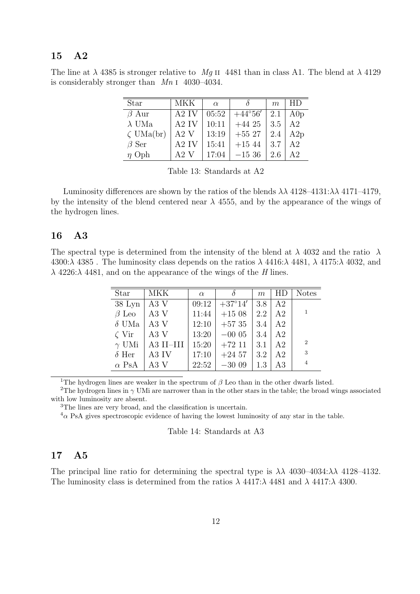#### 15 A2

The line at  $\lambda$  4385 is stronger relative to Mg II 4481 than in class A1. The blend at  $\lambda$  4129 is considerably stronger than Mn i 4030–4034.

| <b>Star</b>     | <b>MKK</b>        | $\alpha$ |                  | m   | HD             |
|-----------------|-------------------|----------|------------------|-----|----------------|
| $\beta$ Aur     | A <sub>2</sub> IV | 05:52    | $+44^{\circ}56'$ | 2.1 | A0p            |
| $\lambda$ UMa   | A <sub>2</sub> IV | 10:11    | $+4425$          | 3.5 | A <sub>2</sub> |
| $\zeta$ UMa(br) | A2V               | 13:19    | $+5527$          | 2.4 | A2p            |
| $\beta$ Ser     | A <sub>2</sub> IV | 15:41    | $+1544$          | 3.7 | A <sub>2</sub> |
| $\eta$ Oph      | A2                | 17:04    | $-1536$          | 2.6 | A2             |

Table 13: Standards at A2

Luminosity differences are shown by the ratios of the blends  $\lambda\lambda$  4128–4131: $\lambda\lambda$  4171–4179. by the intensity of the blend centered near  $\lambda$  4555, and by the appearance of the wings of the hydrogen lines.

#### 16 A3

The spectral type is determined from the intensity of the blend at  $\lambda$  4032 and the ratio  $\lambda$  $4300:\lambda$  4385. The luminosity class depends on the ratios  $\lambda$  4416: $\lambda$  4481,  $\lambda$  4175: $\lambda$  4032, and  $\lambda$  4226: $\lambda$  4481, and on the appearance of the wings of the H lines.

| Star             | <b>MKK</b>  | $\alpha$ |                  | m                | HD             | <b>Notes</b>   |
|------------------|-------------|----------|------------------|------------------|----------------|----------------|
| $38 \text{ Lyn}$ | A3 V        | 09:12    | $+37^{\circ}14'$ | 3.8              | A2             |                |
| $\beta$ Leo      | A3 V        | 11:44    | $+1508$          | 2.2              | A <sub>2</sub> |                |
| $\delta$ UMa     | A3 V        | 12:10    | $+5735$          | 3.4              | A <sub>2</sub> |                |
| $\zeta$ Vir      | A3V         | 13:20    | $-0005$          | 3.4              | A <sub>2</sub> |                |
| $\gamma$ UMi     | $A3$ II-III | 15:20    | $+7211$          | 3.1              | A2             | $\overline{2}$ |
| $\delta$ Her     | A3 IV       | 17:10    | $+24.57$         | $3.2\phantom{0}$ | A <sub>2</sub> | 3              |
| $\alpha$ PsA     | A3 V        | 22:52    | $-3009$          | 1.3              | A3             | $\overline{4}$ |

<sup>1</sup>The hydrogen lines are weaker in the spectrum of  $\beta$  Leo than in the other dwarfs listed.

<sup>2</sup>The hydrogen lines in  $\gamma$  UMi are narrower than in the other stars in the table; the broad wings associated with low luminosity are absent.

<sup>3</sup>The lines are very broad, and the classification is uncertain.

 ${}^{4}\alpha$  PsA gives spectroscopic evidence of having the lowest luminosity of any star in the table.

Table 14: Standards at A3

#### 17 A5

The principal line ratio for determining the spectral type is  $\lambda\lambda$  4030–4034: $\lambda\lambda$  4128–4132. The luminosity class is determined from the ratios  $\lambda$  4417: $\lambda$  4481 and  $\lambda$  4417: $\lambda$  4300.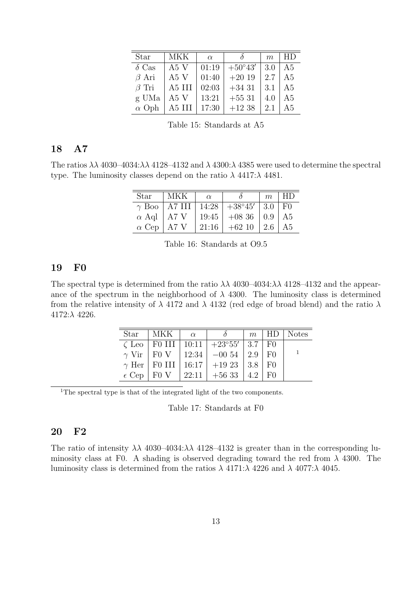| <b>Star</b>  | MKK    | $\alpha$ |                  | m   | HD             |
|--------------|--------|----------|------------------|-----|----------------|
| $\delta$ Cas | A5V    | 01:19    | $+50^{\circ}43'$ | 3.0 | A <sub>5</sub> |
| $\beta$ Ari  | A5V    | 01:40    | $+2019$          | 2.7 | A <sub>5</sub> |
| $\beta$ Tri  | A5 III | 02:03    | $+3431$          | 3.1 | A <sub>5</sub> |
| g UMa        | A5V    | 13:21    | $+5531$          | 4.0 | A <sub>5</sub> |
| $\alpha$ Oph | A5 III | 17:30    | $+1238$          | 2.1 | A5             |

Table 15: Standards at A5

#### 18 A7

The ratios  $\lambda\lambda$  4030–4034: $\lambda\lambda$  4128–4132 and  $\lambda$  4300: $\lambda$  4385 were used to determine the spectral type. The luminosity classes depend on the ratio  $\lambda$  4417: $\lambda$  4481.

| Star                | MKK                           | $\alpha$ |                             | m          | ΗD |
|---------------------|-------------------------------|----------|-----------------------------|------------|----|
|                     | $\gamma$ Boo   A7 III   14:28 |          | $+38^{\circ}45'$   3.0   F0 |            |    |
| $\alpha$ Aql   A7 V |                               | 19:45    | $+0836$                     | $0.9$   A5 |    |
| $\alpha$ Cep   A7 V |                               | 21:16    | $+6210$                     | 2.6        |    |

|  | Table 16: Standards at O9.5 |  |  |
|--|-----------------------------|--|--|
|--|-----------------------------|--|--|

#### 19 F0

The spectral type is determined from the ratio  $\lambda\lambda$  4030–4034: $\lambda\lambda$  4128–4132 and the appearance of the spectrum in the neighborhood of  $\lambda$  4300. The luminosity class is determined from the relative intensity of  $\lambda$  4172 and  $\lambda$  4132 (red edge of broad blend) and the ratio  $\lambda$ 4172:λ 4226.

| Star | ∣ MKK | $\alpha$ |                                                   |                   |      | $m$   HD   Notes |
|------|-------|----------|---------------------------------------------------|-------------------|------|------------------|
|      |       |          | $\zeta$ Leo   F0 III   10:11   +23°55'   3.7   F0 |                   |      |                  |
|      |       |          | $\gamma$ Vir   F0 V   12:34   -00 54   2.9   F0   |                   |      |                  |
|      |       |          | $\gamma$ Her   F0 III   16:17   +19 23   3.8   F0 |                   |      |                  |
|      |       |          | $\epsilon$ Cep   F0 V   22:11   +56 33            | $\vert 4.2 \vert$ | - EO |                  |

<sup>1</sup>The spectral type is that of the integrated light of the two components.

Table 17: Standards at F0

#### 20 F2

The ratio of intensity  $\lambda\lambda$  4030–4034: $\lambda\lambda$  4128–4132 is greater than in the corresponding luminosity class at F0. A shading is observed degrading toward the red from  $\lambda$  4300. The luminosity class is determined from the ratios  $\lambda$  4171: $\lambda$  4226 and  $\lambda$  4077: $\lambda$  4045.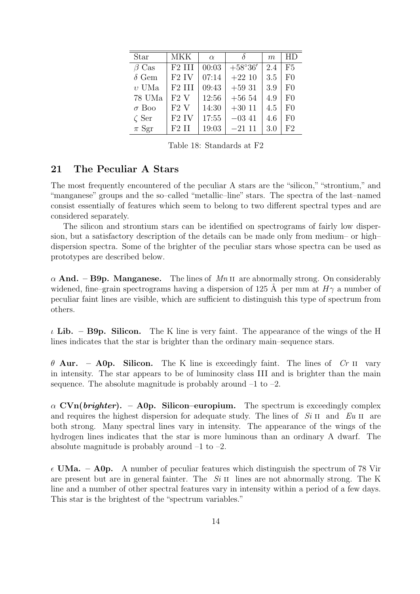| <b>Star</b>  | <b>MKK</b>         | $\alpha$ |                  | m   | HD             |
|--------------|--------------------|----------|------------------|-----|----------------|
| $\beta$ Cas  | F <sub>2</sub> III | 00:03    | $+58^{\circ}36'$ | 2.4 | F5             |
| $\delta$ Gem | F <sub>2</sub> IV  | 07:14    | $+2210$          | 3.5 | F <sub>0</sub> |
| $v$ UMa      | F <sub>2</sub> III | 09:43    | $+5931$          | 3.9 | F <sub>0</sub> |
| 78 UMa       | F2V                | 12:56    | $+5654$          | 4.9 | F <sub>0</sub> |
| $\sigma$ Boo | F2V                | 14:30    | $+3011$          | 4.5 | F <sub>0</sub> |
| $\zeta$ Ser  | F <sub>2</sub> IV  | 17:55    | $-0341$          | 4.6 | F <sub>0</sub> |
| $\pi$ Sgr    | $F2$ II            | 19:03    | $-2111$          | 3.0 | F2             |

Table 18: Standards at F2

#### 21 The Peculiar A Stars

The most frequently encountered of the peculiar A stars are the "silicon," "strontium," and "manganese" groups and the so–called "metallic–line" stars. The spectra of the last–named consist essentially of features which seem to belong to two different spectral types and are considered separately.

The silicon and strontium stars can be identified on spectrograms of fairly low dispersion, but a satisfactory description of the details can be made only from medium– or high– dispersion spectra. Some of the brighter of the peculiar stars whose spectra can be used as prototypes are described below.

 $\alpha$  And. – B9p. Manganese. The lines of Mn II are abnormally strong. On considerably widened, fine–grain spectrograms having a dispersion of 125 Å per mm at  $H\gamma$  a number of peculiar faint lines are visible, which are sufficient to distinguish this type of spectrum from others.

 $\iota$  Lib. – B9p. Silicon. The K line is very faint. The appearance of the wings of the H lines indicates that the star is brighter than the ordinary main–sequence stars.

 $\theta$  Aur. – A0p. Silicon. The K line is exceedingly faint. The lines of Cr II vary in intensity. The star appears to be of luminosity class III and is brighter than the main sequence. The absolute magnitude is probably around  $-1$  to  $-2$ .

 $\alpha$  CVn(*brighter*). – A0p. Silicon–europium. The spectrum is exceedingly complex and requires the highest dispersion for adequate study. The lines of  $Si$  II and  $Eu$  II are both strong. Many spectral lines vary in intensity. The appearance of the wings of the hydrogen lines indicates that the star is more luminous than an ordinary A dwarf. The absolute magnitude is probably around  $-1$  to  $-2$ .

 $\epsilon$  UMa. – A0p. A number of peculiar features which distinguish the spectrum of 78 Vir are present but are in general fainter. The  $Si$  II lines are not abnormally strong. The K line and a number of other spectral features vary in intensity within a period of a few days. This star is the brightest of the "spectrum variables."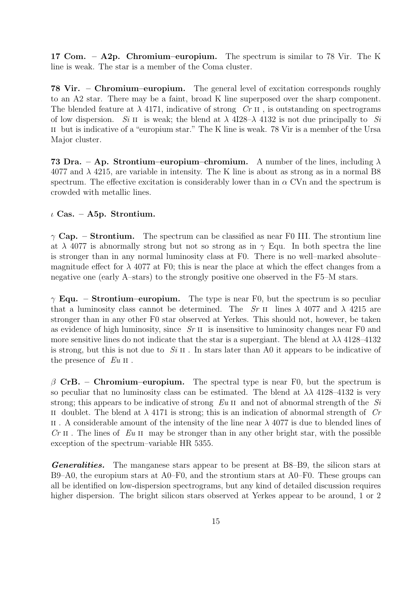17 Com. – A2p. Chromium–europium. The spectrum is similar to 78 Vir. The K line is weak. The star is a member of the Coma cluster.

78 Vir. – Chromium–europium. The general level of excitation corresponds roughly to an A2 star. There may be a faint, broad K line superposed over the sharp component. The blended feature at  $\lambda$  4171, indicative of strong Cr II, is outstanding on spectrograms of low dispersion. Si II is weak; the blend at  $\lambda$  4128– $\lambda$  4132 is not due principally to Si ii but is indicative of a "europium star." The K line is weak. 78 Vir is a member of the Ursa Major cluster.

73 Dra. – Ap. Strontium–europium–chromium. A number of the lines, including  $\lambda$ 4077 and  $\lambda$  4215, are variable in intensity. The K line is about as strong as in a normal B8 spectrum. The effective excitation is considerably lower than in  $\alpha$  CVn and the spectrum is crowded with metallic lines.

#### $\iota$  Cas. – A5p. Strontium.

 $\gamma$  Cap. – Strontium. The spectrum can be classified as near F0 III. The strontium line at  $\lambda$  4077 is abnormally strong but not so strong as in  $\gamma$  Equ. In both spectra the line is stronger than in any normal luminosity class at F0. There is no well–marked absolute– magnitude effect for  $\lambda$  4077 at F0; this is near the place at which the effect changes from a negative one (early A–stars) to the strongly positive one observed in the F5–M stars.

 $\gamma$  Equ. – Strontium–europium. The type is near F0, but the spectrum is so peculiar that a luminosity class cannot be determined. The Sr II lines  $\lambda$  4077 and  $\lambda$  4215 are stronger than in any other F0 star observed at Yerkes. This should not, however, be taken as evidence of high luminosity, since  $Sr$  II is insensitive to luminosity changes near F0 and more sensitive lines do not indicate that the star is a supergiant. The blend at  $\lambda\lambda$  4128–4132 is strong, but this is not due to  $Si$  II. In stars later than A0 it appears to be indicative of the presence of  $Eu$  II.

 $\beta$  CrB. – Chromium–europium. The spectral type is near F0, but the spectrum is so peculiar that no luminosity class can be estimated. The blend at  $\lambda\lambda$  4128–4132 is very strong; this appears to be indicative of strong  $Eu$  II and not of abnormal strength of the  $Si$ II doublet. The blend at  $\lambda$  4171 is strong; this is an indication of abnormal strength of Cr II. A considerable amount of the intensity of the line near  $\lambda$  4077 is due to blended lines of Cr II. The lines of Eu II may be stronger than in any other bright star, with the possible exception of the spectrum–variable HR 5355.

Generalities. The manganese stars appear to be present at B8–B9, the silicon stars at B9–A0, the europium stars at A0–F0, and the strontium stars at A0–F0. These groups can all be identified on low-dispersion spectrograms, but any kind of detailed discussion requires higher dispersion. The bright silicon stars observed at Yerkes appear to be around, 1 or 2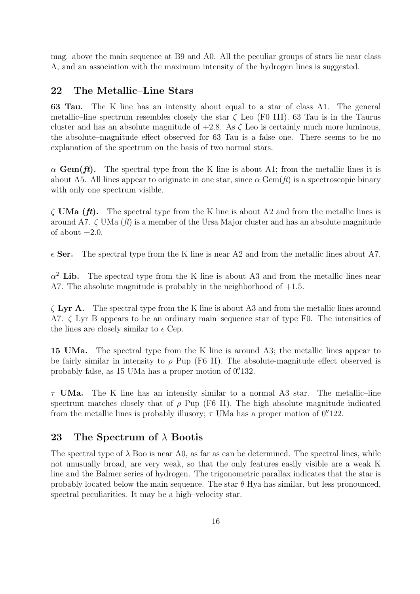mag. above the main sequence at B9 and A0. All the peculiar groups of stars lie near class A, and an association with the maximum intensity of the hydrogen lines is suggested.

#### 22 The Metallic–Line Stars

63 Tau. The K line has an intensity about equal to a star of class A1. The general metallic–line spectrum resembles closely the star  $\zeta$  Leo (F0 III). 63 Tau is in the Taurus cluster and has an absolute magnitude of  $+2.8$ . As  $\zeta$  Leo is certainly much more luminous, the absolute–magnitude effect observed for 63 Tau is a false one. There seems to be no explanation of the spectrum on the basis of two normal stars.

 $\alpha$  Gem(ft). The spectral type from the K line is about A1; from the metallic lines it is about A5. All lines appear to originate in one star, since  $\alpha$  Gem(*ft*) is a spectroscopic binary with only one spectrum visible.

 $\zeta$  UMa (ft). The spectral type from the K line is about A2 and from the metallic lines is around A7.  $\zeta$  UMa (*ft*) is a member of the Ursa Major cluster and has an absolute magnitude of about  $+2.0$ .

 $\epsilon$  Ser. The spectral type from the K line is near A2 and from the metallic lines about A7.

 $\alpha^2$  Lib. The spectral type from the K line is about A3 and from the metallic lines near A7. The absolute magnitude is probably in the neighborhood of  $+1.5$ .

 $\zeta$  Lyr A. The spectral type from the K line is about A3 and from the metallic lines around A7. ζ Lyr B appears to be an ordinary main–sequence star of type F0. The intensities of the lines are closely similar to  $\epsilon$  Cep.

15 UMa. The spectral type from the K line is around A3; the metallic lines appear to be fairly similar in intensity to  $\rho$  Pup (F6 II). The absolute-magnitude effect observed is probably false, as 15 UMa has a proper motion of 0".132.

 $\tau$  UMa. The K line has an intensity similar to a normal A3 star. The metallic–line spectrum matches closely that of  $\rho$  Pup (F6 II). The high absolute magnitude indicated from the metallic lines is probably illusory;  $\tau$  UMa has a proper motion of 0. 122.

#### 23 The Spectrum of  $\lambda$  Bootis

The spectral type of  $\lambda$  Boo is near A0, as far as can be determined. The spectral lines, while not unusually broad, are very weak, so that the only features easily visible are a weak K line and the Balmer series of hydrogen. The trigonometric parallax indicates that the star is probably located below the main sequence. The star  $\theta$  Hya has similar, but less pronounced, spectral peculiarities. It may be a high–velocity star.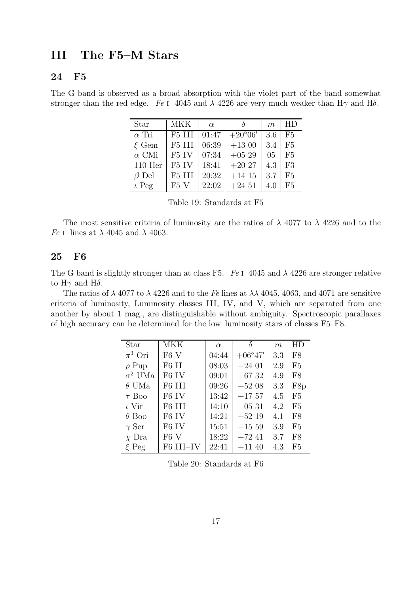## III The F5–M Stars

#### 24 F5

The G band is observed as a broad absorption with the violet part of the band somewhat stronger than the red edge. Fe I 4045 and  $\lambda$  4226 are very much weaker than H $\gamma$  and H $\delta$ .

| <b>Star</b>  | MKK               | $\alpha$ |                  | m   | НD |
|--------------|-------------------|----------|------------------|-----|----|
| $\alpha$ Tri | F5 III            | 01:47    | $+20^{\circ}06'$ | 3.6 | F5 |
| $\xi$ Gem    | F5 III            | 06:39    | $+1300$          | 3.4 | F5 |
| $\alpha$ CMi | F <sub>5</sub> IV | 07:34    | $+0529$          | 05  | F5 |
| $110$ Her    | F <sub>5</sub> IV | 18:41    | $+2027$          | 4.3 | F3 |
| $\beta$ Del  | F5 III            | 20:32    | $+1415$          | 3.7 | F5 |
| $\iota$ Peg  | F5 V              | 22:02    | $+24.51$         | 4.0 | F5 |

Table 19: Standards at F5

The most sensitive criteria of luminosity are the ratios of  $\lambda$  4077 to  $\lambda$  4226 and to the Fe I lines at  $\lambda$  4045 and  $\lambda$  4063.

#### 25 F6

The G band is slightly stronger than at class F5. Fe I 4045 and  $\lambda$  4226 are stronger relative to  $H\gamma$  and  $H\delta$ .

The ratios of  $\lambda$  4077 to  $\lambda$  4226 and to the Fe lines at  $\lambda\lambda$  4045, 4063, and 4071 are sensitive criteria of luminosity, Luminosity classes III, IV, and V, which are separated from one another by about 1 mag., are distinguishable without ambiguity. Spectroscopic parallaxes of high accuracy can be determined for the low–luminosity stars of classes F5–F8.

| Star                   | MKK               | $\alpha$ |                  | m   | HD              |
|------------------------|-------------------|----------|------------------|-----|-----------------|
| $\overline{\pi^3}$ Ori | F <sub>6</sub> V  | 04:44    | $+06^{\circ}47'$ | 3.3 | F8              |
| $\rho$ Pup             | F6 II             | 08:03    | $-2401$          | 2.9 | F <sub>5</sub>  |
| $\sigma^2$ UMa         | F <sub>6</sub> IV | 09:01    | $+6732$          | 4.9 | F8              |
| $\theta$ UMa           | F6 III            | 09:26    | $+5208$          | 3.3 | F8 <sub>p</sub> |
| $\tau$ Boo             | F <sub>6</sub> IV | 13:42    | $+1757$          | 4.5 | F <sub>5</sub>  |
| $\iota$ Vir            | F6 III            | 14:10    | $-0531$          | 4.2 | F <sub>5</sub>  |
| $\theta$ Boo           | F <sub>6</sub> IV | 14:21    | $+5219$          | 4.1 | F <sub>8</sub>  |
| $\gamma$ Ser           | F <sub>6</sub> IV | 15:51    | $+1559$          | 3.9 | F <sub>5</sub>  |
| $\chi$ Dra             | F6 V              | 18:22    | $+7241$          | 3.7 | F8              |
| $\xi$ Peg              | F6 III-IV         | 22:41    | $+1140$          | 4.3 | F5              |

Table 20: Standards at F6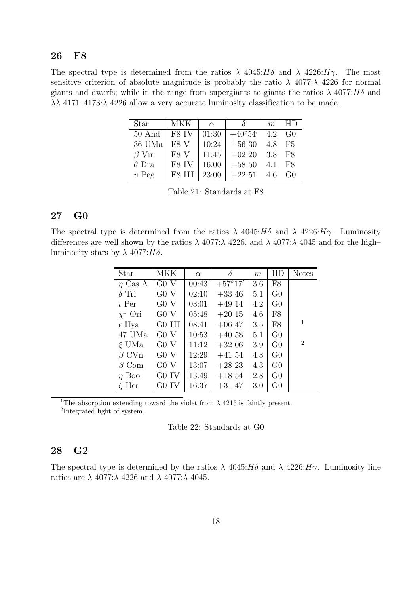#### 26 F8

The spectral type is determined from the ratios  $\lambda$  4045: $H\delta$  and  $\lambda$  4226: $H\gamma$ . The most sensitive criterion of absolute magnitude is probably the ratio  $\lambda$  4077: $\lambda$  4226 for normal giants and dwarfs; while in the range from supergiants to giants the ratios  $\lambda$  4077:H $\delta$  and λλ 4171–4173:λ 4226 allow a very accurate luminosity classification to be made.

| <b>Star</b>  | MKK   | $\alpha$ |                  | m   | НD |
|--------------|-------|----------|------------------|-----|----|
| 50 And       | F8 IV | 01:30    | $+40^{\circ}54'$ | 4.2 | GO |
| 36 UMa       | F8 V  | 10:24    | $+5630$          | 4.8 | F5 |
| $\beta$ Vir  | F8 V  | 11:45    | $+0220$          | 3.8 | F8 |
| $\theta$ Dra | F8 IV | 16:00    | $+5850$          | 4.1 | F8 |
| $v$ Peg      | F8 HI | 23:00    | $+22.51$         | 4.6 | GО |

Table 21: Standards at F8

#### 27 G0

The spectral type is determined from the ratios  $\lambda$  4045: $H\delta$  and  $\lambda$  4226: $H\gamma$ . Luminosity differences are well shown by the ratios  $\lambda$  4077: $\lambda$  4226, and  $\lambda$  4077: $\lambda$  4045 and for the high– luminosity stars by  $\lambda$  4077: $H\delta$ .

| <b>Star</b>    | MKK     | $\alpha$ | $\delta$         | $m\,$ | HD             | <b>Notes</b>   |
|----------------|---------|----------|------------------|-------|----------------|----------------|
| $\eta$ Cas A   | G0V     | 00:43    | $+57^{\circ}17'$ | 3.6   | F <sub>8</sub> |                |
| $\delta$ Tri   | G0V     | 02:10    | $+3346$          | 5.1   | G <sub>0</sub> |                |
| $\iota$ Per    | G0V     | 03:01    | $+49$ 14         | 4.2   | G <sub>0</sub> |                |
| $\chi^1$ Ori   | GOV     | 05:48    | $+2015$          | 4.6   | F8             |                |
| $\epsilon$ Hya | G0 III  | 08:41    | $+06$ 47         | 3.5   | F8             | 1              |
| 47 UMa         | G0V     | 10:53    | $+40.58$         | 5.1   | G <sub>0</sub> |                |
| $\xi$ UMa      | G0V     | 11:12    | $+3206$          | 3.9   | G <sub>0</sub> | $\overline{2}$ |
| $\beta$ CVn    | GOV     | 12:29    | $+41,54$         | 4.3   | G <sub>0</sub> |                |
| $\beta$ Com    | G0V     | 13:07    | $+2823$          | 4.3   | G <sub>0</sub> |                |
| $\eta$ Boo     | G0 IV   | 13:49    | $+1854$          | 2.8   | G <sub>0</sub> |                |
| $\zeta$ Her    | $G0$ IV | 16:37    | $+3147$          | 3.0   | G <sub>0</sub> |                |

<sup>1</sup>The absorption extending toward the violet from  $\lambda$  4215 is faintly present.

2 Integrated light of system.

Table 22: Standards at G0

#### 28 G2

The spectral type is determined by the ratios  $\lambda$  4045: $H\delta$  and  $\lambda$  4226: $H\gamma$ . Luminosity line ratios are  $\lambda$  4077: $\lambda$  4226 and  $\lambda$  4077: $\lambda$  4045.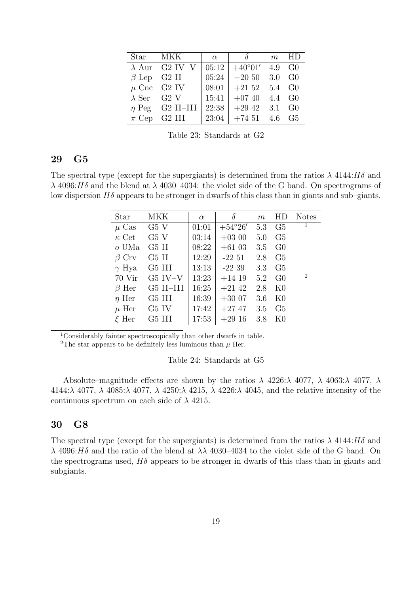| <b>Star</b>   | <b>MKK</b>         | $\alpha$ |                  | m   | HD             |
|---------------|--------------------|----------|------------------|-----|----------------|
| $\lambda$ Aur | $G2$ IV-V          | 05:12    | $+40^{\circ}01'$ | 4.9 | G <sub>0</sub> |
| $\beta$ Lep   | $G2$ II            | 05:24    | $-2050$          | 3.0 | G <sub>0</sub> |
| $\mu$ Cnc     | $G2$ IV            | 08:01    | $+2152$          | 5.4 | G <sub>0</sub> |
| $\lambda$ Ser | G2V                | 15:41    | $+0740$          | 4.4 | G <sub>0</sub> |
| $\eta$ Peg    | $G2$ II-III        | 22:38    | $+2942$          | 3.1 | G <sub>0</sub> |
| $\pi$ Cep     | G <sub>2</sub> III | 23:04    | $+74.51$         | 4.6 | G <sub>5</sub> |

Table 23: Standards at G2

#### 29 G5

The spectral type (except for the supergiants) is determined from the ratios  $\lambda$  4144: $H\delta$  and  $\lambda$  4096:H $\delta$  and the blend at  $\lambda$  4030–4034: the violet side of the G band. On spectrograms of low dispersion  $H\delta$  appears to be stronger in dwarfs of this class than in giants and sub–giants.

| <b>Star</b>  | MKK              | $\alpha$ | $\delta$         | m   | HD             | <b>Notes</b>   |
|--------------|------------------|----------|------------------|-----|----------------|----------------|
| $\mu$ Cas    | G5 V             | 01:01    | $+54^{\circ}26'$ | 5.3 | G <sub>5</sub> | 1              |
| $\kappa$ Cet | G5V              | 03:14    | $+0300$          | 5.0 | G <sub>5</sub> |                |
| o UMa        | $G5$ II          | 08:22    | $+6103$          | 3.5 | G <sub>0</sub> |                |
| $\beta$ Crv  | $G5$ II          | 12:29    | $-2251$          | 2.8 | G <sub>5</sub> |                |
| $\gamma$ Hya | G5 III           | 13:13    | $-2239$          | 3.3 | G <sub>5</sub> |                |
| 70 Vir       | $G5$ IV-V        | 13:23    | $+1419$          | 5.2 | G <sub>0</sub> | $\overline{2}$ |
| $\beta$ Her  | $G5$ II $-I$ III | 16:25    | $+21$ 42         | 2.8 | K <sub>0</sub> |                |
| $\eta$ Her   | G5 III           | 16:39    | $+3007$          | 3.6 | K <sub>0</sub> |                |
| $\mu$ Her    | G5 IV            | 17:42    | $+2747$          | 3.5 | G <sub>5</sub> |                |
| $\xi$ Her    | G5 III           | 17:53    | $+2916$          | 3.8 | K <sub>0</sub> |                |

<sup>1</sup>Considerably fainter spectroscopically than other dwarfs in table.

<sup>2</sup>The star appears to be definitely less luminous than  $\mu$  Her.

#### Table 24: Standards at G5

Absolute–magnitude effects are shown by the ratios  $\lambda$  4226: $\lambda$  4077,  $\lambda$  4063: $\lambda$  4077,  $\lambda$ 4144: $\lambda$  4077,  $\lambda$  4085: $\lambda$  4077,  $\lambda$  4250: $\lambda$  4215,  $\lambda$  4226: $\lambda$  4045, and the relative intensity of the continuous spectrum on each side of  $\lambda$  4215.

#### 30 G8

The spectral type (except for the supergiants) is determined from the ratios  $\lambda$  4144: $H\delta$  and  $\lambda$  4096:H $\delta$  and the ratio of the blend at  $\lambda\lambda$  4030–4034 to the violet side of the G band. On the spectrograms used,  $H\delta$  appears to be stronger in dwarfs of this class than in giants and subgiants.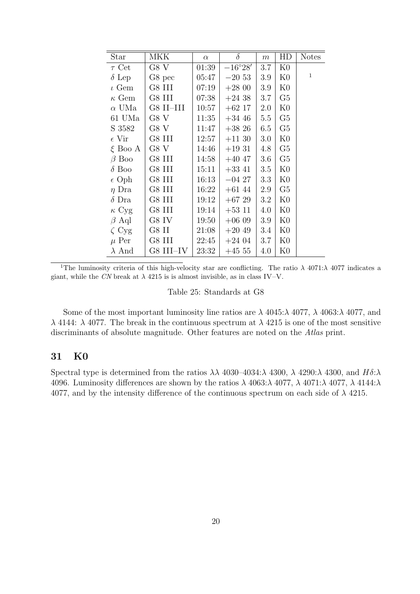| $\operatorname{Star}$ | MKK       | $\alpha$ | $\delta$         | $\boldsymbol{m}$ | HD             | <b>Notes</b> |
|-----------------------|-----------|----------|------------------|------------------|----------------|--------------|
| $\tau$ Cet            | G8 V      | 01:39    | $-16^{\circ}28'$ | 3.7              | K <sub>0</sub> |              |
| $\delta$ Lep          | G8 pec    | 05:47    | $-20.53$         | 3.9              | K <sub>0</sub> | $\mathbf{1}$ |
| $\iota$ Gem           | G8 III    | 07:19    | $+2800$          | 3.9              | K <sub>0</sub> |              |
| $\kappa$ Gem          | G8 III    | 07:38    | $+2438$          | 3.7              | G <sub>5</sub> |              |
| $\alpha$ UMa          | G8 II–III | 10:57    | $+62$ 17         | 2.0              | K <sub>0</sub> |              |
| 61 UMa                | G8 V      | 11:35    | $+34.46$         | 5.5              | G <sub>5</sub> |              |
| S 3582                | G8 V      | 11:47    | $+3826$          | 6.5              | G <sub>5</sub> |              |
| $\epsilon$ Vir        | G8 III    | 12:57    | $+1130$          | 3.0              | K <sub>0</sub> |              |
| $\xi$ Boo A           | G8 V      | 14:46    | $+1931$          | 4.8              | G <sub>5</sub> |              |
| $\beta$ Boo           | G8 III    | 14:58    | $+4047$          | 3.6              | G <sub>5</sub> |              |
| $\delta$ Boo          | G8 III    | 15:11    | $+33$ 41         | 3.5              | K <sub>0</sub> |              |
| $\epsilon$ Oph        | G8 III    | 16:13    | $-0427$          | 3.3              | K <sub>0</sub> |              |
| $\eta$ Dra            | G8 III    | 16:22    | $+6144$          | 2.9              | G <sub>5</sub> |              |
| $\delta$ Dra          | G8 III    | 19:12    | $+6729$          | 3.2              | K <sub>0</sub> |              |
| $\kappa$ Cyg          | G8 III    | 19:14    | $+5311$          | 4.0              | K <sub>0</sub> |              |
| $\beta$ Aql           | G8 IV     | 19:50    | $+0609$          | 3.9              | K <sub>0</sub> |              |
| $\zeta$ Cyg           | G8 II     | 21:08    | $+2049$          | 3.4              | K <sub>0</sub> |              |
| $\mu$ Per             | G8 III    | 22:45    | $+2404$          | 3.7              | K <sub>0</sub> |              |
| $\lambda$ And         | G8 III–IV | 23:32    | $+4555$          | 4.0              | K <sub>0</sub> |              |

<sup>1</sup>The luminosity criteria of this high-velocity star are conflicting. The ratio  $\lambda$  4071: $\lambda$  4077 indicates a giant, while the CN break at  $\lambda$  4215 is is almost invisible, as in class IV–V.

#### Table 25: Standards at G8

Some of the most important luminosity line ratios are  $\lambda$  4045: $\lambda$  4077,  $\lambda$  4063: $\lambda$  4077, and λ 4144: λ 4077. The break in the continuous spectrum at λ 4215 is one of the most sensitive discriminants of absolute magnitude. Other features are noted on the Atlas print.

#### 31 K0

Spectral type is determined from the ratios  $\lambda\lambda$  4030–4034: $\lambda$  4300,  $\lambda$  4290: $\lambda$  4300, and  $H\delta$ : $\lambda$ 4096. Luminosity differences are shown by the ratios  $\lambda$  4063: $\lambda$  4077,  $\lambda$  4071: $\lambda$  4077,  $\lambda$  4144: $\lambda$ 4077, and by the intensity difference of the continuous spectrum on each side of  $\lambda$  4215.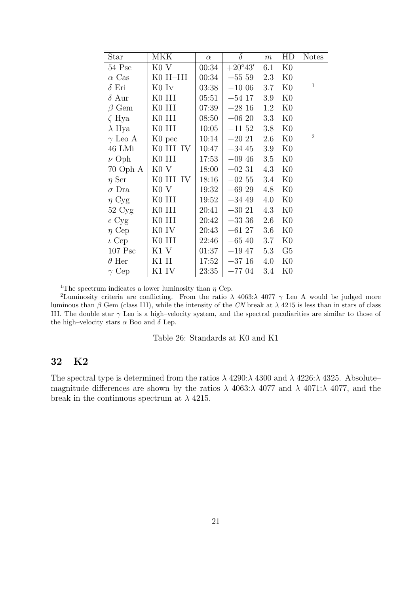| Star           | MKK                | $\alpha$ | $\overline{\delta}$ | $\boldsymbol{m}$ | HD             | <b>Notes</b>   |
|----------------|--------------------|----------|---------------------|------------------|----------------|----------------|
| 54 Psc         | K <sub>0</sub> V   | 00:34    | $+20^{\circ}43'$    | 6.1              | K <sub>0</sub> |                |
| $\alpha$ Cas   | $KO$ $II$ - $III$  | 00:34    | $+5559$             | 2.3              | K <sub>0</sub> |                |
| $\delta$ Eri   | K0 Iv              | 03:38    | $-1006$             | 3.7              | K <sub>0</sub> | $\mathbf{1}$   |
| $\delta$ Aur   | K <sub>0</sub> III | 05:51    | $+54$ 17            | 3.9              | K <sub>0</sub> |                |
| $\beta$ Gem    | K <sub>0</sub> III | 07:39    | $+2816$             | 1.2              | K <sub>0</sub> |                |
| $\zeta$ Hya    | K <sub>0</sub> III | 08:50    | $+0620$             | 3.3              | K <sub>0</sub> |                |
| $\lambda$ Hya  | K <sub>0</sub> III | 10:05    | $-1152$             | 3.8              | K <sub>0</sub> |                |
| $\gamma$ Leo A | K <sub>0</sub> pec | 10:14    | $+2021$             | 2.6              | K <sub>0</sub> | $\overline{2}$ |
| 46 LMi         | K0 III-IV          | 10:47    | $+34$ 45            | 3.9              | K <sub>0</sub> |                |
| $\nu$ Oph      | K <sub>0</sub> III | 17:53    | $-0946$             | 3.5              | K <sub>0</sub> |                |
| $70$ Oph A     | K <sub>0</sub> V   | 18:00    | $+0231$             | 4.3              | K <sub>0</sub> |                |
| $\eta$ Ser     | K0 III-IV          | 18:16    | $-0255$             | 3.4              | K <sub>0</sub> |                |
| $\sigma$ Dra   | K <sub>0</sub> V   | 19:32    | $+6929$             | 4.8              | K <sub>0</sub> |                |
| $\eta$ Cyg     | K <sub>0</sub> III | 19:52    | $+3449$             | 4.0              | K <sub>0</sub> |                |
| 52 Cyg         | K <sub>0</sub> III | 20:41    | $+3021$             | 4.3              | K <sub>0</sub> |                |
| $\epsilon$ Cyg | K <sub>0</sub> III | 20:42    | $+3336$             | 2.6              | K <sub>0</sub> |                |
| $\eta$ Cep     | K0 IV              | 20:43    | $+6127$             | 3.6              | K <sub>0</sub> |                |
| $\iota$ Cep    | K <sub>0</sub> III | 22:46    | $+6540$             | 3.7              | K <sub>0</sub> |                |
| $107$ Psc      | K1 V               | 01:37    | $+1947$             | 5.3              | G <sub>5</sub> |                |
| $\theta$ Her   | K1 II              | 17:52    | $+3716$             | 4.0              | K <sub>0</sub> |                |
| $\gamma$ Cep   | K1 IV              | 23:35    | $+7704$             | 3.4              | K <sub>0</sub> |                |

<sup>1</sup>The spectrum indicates a lower luminosity than  $\eta$  Cep.

<sup>2</sup>Luminosity criteria are conflicting. From the ratio  $\lambda$  4063: $\lambda$  4077  $\gamma$  Leo A would be judged more luminous than  $\beta$  Gem (class III), while the intensity of the CN break at  $\lambda$  4215 is less than in stars of class III. The double star  $\gamma$  Leo is a high–velocity system, and the spectral peculiarities are similar to those of the high–velocity stars  $\alpha$  Boo and  $\delta$  Lep.

Table 26: Standards at K0 and K1

#### 32 K2

The spectral type is determined from the ratios  $\lambda$  4290: $\lambda$  4300 and  $\lambda$  4226: $\lambda$  4325. Absolute– magnitude differences are shown by the ratios  $\lambda$  4063: $\lambda$  4077 and  $\lambda$  4071: $\lambda$  4077, and the break in the continuous spectrum at  $\lambda$  4215.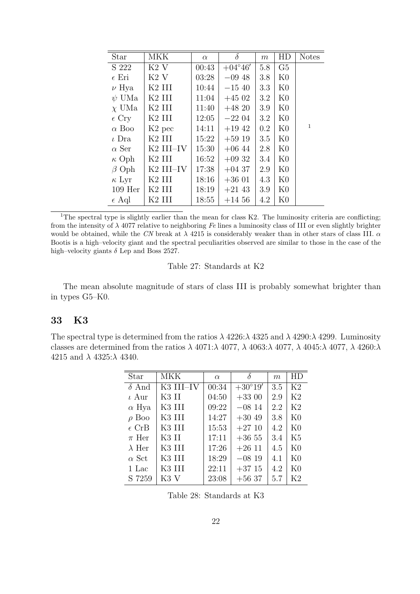| <b>Star</b>    | MKK                   | $\alpha$ | $\delta$         | m       | HD             | <b>Notes</b> |
|----------------|-----------------------|----------|------------------|---------|----------------|--------------|
| S 222          | K <sub>2</sub> V      | 00:43    | $+04^{\circ}46'$ | 5.8     | G <sub>5</sub> |              |
| $\epsilon$ Eri | K <sub>2</sub> V      | 03:28    | $-0948$          | 3.8     | K <sub>0</sub> |              |
| $\nu$ Hya      | K <sub>2</sub> III    | 10:44    | $-1540$          | 3.3     | K <sub>0</sub> |              |
| $\psi$ UMa     | K <sub>2</sub> III    | 11:04    | $+4502$          | 3.2     | K <sub>0</sub> |              |
| $\chi$ UMa     | K2 III                | 11:40    | $+4820$          | 3.9     | K <sub>0</sub> |              |
| $\epsilon$ Cry | K <sub>2</sub> III    | 12:05    | $-2204$          | 3.2     | K <sub>0</sub> |              |
| $\alpha$ Boo   | $K2$ pec              | 14:11    | $+1942$          | $0.2\,$ | K <sub>0</sub> | $\mathbf{1}$ |
| $\iota$ Dra    | K <sub>2</sub> III    | 15:22    | $+5919$          | 3.5     | K <sub>0</sub> |              |
| $\alpha$ Ser   | K <sub>2</sub> III-IV | 15:30    | $+0644$          | 2.8     | K <sub>0</sub> |              |
| $\kappa$ Oph   | K <sub>2</sub> III    | 16:52    | $+0932$          | 3.4     | K <sub>0</sub> |              |
| $\beta$ Oph    | K <sub>2</sub> III-IV | 17:38    | $+0437$          | 2.9     | K <sub>0</sub> |              |
| $\kappa$ Lyr   | K <sub>2</sub> III    | 18:16    | $+3601$          | 4.3     | K <sub>0</sub> |              |
| $109$ Her      | K2 III                | 18:19    | $+21$ 43         | 3.9     | K <sub>0</sub> |              |
| $\epsilon$ Aql | K2 III                | 18:55    | $+14.56$         | 4.2     | K <sub>0</sub> |              |

<sup>1</sup>The spectral type is slightly earlier than the mean for class K2. The luminosity criteria are conflicting; from the intensity of  $\lambda$  4077 relative to neighboring Fe lines a luminosity class of III or even slightly brighter would be obtained, while the CN break at  $\lambda$  4215 is considerably weaker than in other stars of class III.  $\alpha$ Bootis is a high–velocity giant and the spectral peculiarities observed are similar to those in the case of the high–velocity giants  $\delta$  Lep and Boss 2527.

Table 27: Standards at K2

The mean absolute magnitude of stars of class III is probably somewhat brighter than in types G5–K0.

#### 33 K3

The spectral type is determined from the ratios  $\lambda$  4226: $\lambda$  4325 and  $\lambda$  4290: $\lambda$  4299. Luminosity classes are determined from the ratios  $\lambda$  4071: $\lambda$  4077,  $\lambda$  4063: $\lambda$  4077,  $\lambda$  4045: $\lambda$  4077,  $\lambda$  4260: $\lambda$ 4215 and  $\lambda$  4325: $\lambda$  4340.

| <b>Star</b>    | <b>MKK</b> | $\alpha$ |                  | m   | HD             |
|----------------|------------|----------|------------------|-----|----------------|
| $\delta$ And   | K3 III-IV  | 00:34    | $+30^{\circ}19'$ | 3.5 | K <sub>2</sub> |
| $\iota$ Aur    | K3 II      | 04:50    | $+3300$          | 2.9 | K <sub>2</sub> |
| $\alpha$ Hya   | K3 III     | 09:22    | $-0814$          | 2.2 | K <sub>2</sub> |
| $\rho$ Boo     | K3 III     | 14:27    | $+3049$          | 3.8 | K <sub>0</sub> |
| $\epsilon$ CrB | K3 III     | 15:53    | $+2710$          | 4.2 | K <sub>0</sub> |
| $\pi$ Her      | K3 II      | 17:11    | $+3655$          | 3.4 | K <sub>5</sub> |
| $\lambda$ Her  | K3 III     | 17:26    | $+2611$          | 4.5 | K <sub>0</sub> |
| $\alpha$ Sct   | K3 III     | 18:29    | $-0819$          | 4.1 | K <sub>0</sub> |
| 1 Lac          | K3 III     | 22:11    | $+3715$          | 4.2 | K <sub>0</sub> |
| S 7259         | K3 V       | 23:08    | $+5637$          | 5.7 | K <sub>2</sub> |

Table 28: Standards at K3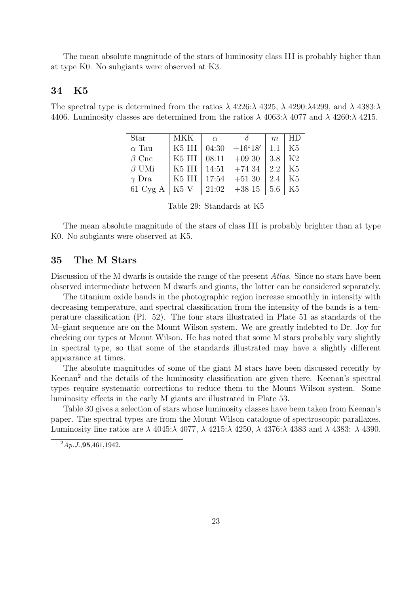The mean absolute magnitude of the stars of luminosity class III is probably higher than at type K0. No subgiants were observed at K3.

#### 34 K5

The spectral type is determined from the ratios  $\lambda$  4226: $\lambda$  4325,  $\lambda$  4290: $\lambda$ 4299, and  $\lambda$  4383: $\lambda$ 4406. Luminosity classes are determined from the ratios  $\lambda$  4063: $\lambda$  4077 and  $\lambda$  4260: $\lambda$  4215.

| Star                  | MKK.               | $\alpha$ |                  | m   | НD |
|-----------------------|--------------------|----------|------------------|-----|----|
| $\alpha$ Tau          | K5 III             | 04:30    | $+16^{\circ}18'$ | 1.1 | K5 |
| $\beta$ Cnc           | K <sub>5</sub> III | 08:11    | $+0930$          | 3.8 | K2 |
| $\beta$ UMi           | K5 III             | 14:51    | $+74.34$         | 2.2 | K5 |
| $\gamma$ Dra          | K5 III             | 17:54    | $+5130$          | 2.4 | Κ5 |
| $61 \,\mathrm{Cyg}$ A | K5 V               | 21:02    | $+38$ 15         | 5.6 | Κ5 |

Table 29: Standards at K5

The mean absolute magnitude of the stars of class III is probably brighter than at type K0. No subgiants were observed at K5.

#### 35 The M Stars

Discussion of the M dwarfs is outside the range of the present *Atlas*. Since no stars have been observed intermediate between M dwarfs and giants, the latter can be considered separately.

The titanium oxide bands in the photographic region increase smoothly in intensity with decreasing temperature, and spectral classification from the intensity of the bands is a temperature classification (Pl. 52). The four stars illustrated in Plate 51 as standards of the M–giant sequence are on the Mount Wilson system. We are greatly indebted to Dr. Joy for checking our types at Mount Wilson. He has noted that some M stars probably vary slightly in spectral type, so that some of the standards illustrated may have a slightly different appearance at times.

The absolute magnitudes of some of the giant M stars have been discussed recently by Keenan<sup>2</sup> and the details of the luminosity classification are given there. Keenan's spectral types require systematic corrections to reduce them to the Mount Wilson system. Some luminosity effects in the early M giants are illustrated in Plate 53.

Table 30 gives a selection of stars whose luminosity classes have been taken from Keenan's paper. The spectral types are from the Mount Wilson catalogue of spectroscopic parallaxes. Luminosity line ratios are  $\lambda$  4045: $\lambda$  4077,  $\lambda$  4215: $\lambda$  4250,  $\lambda$  4376: $\lambda$  4383 and  $\lambda$  4383:  $\lambda$  4390.

 $^{2}$ *Ap.J.*,95,461,1942.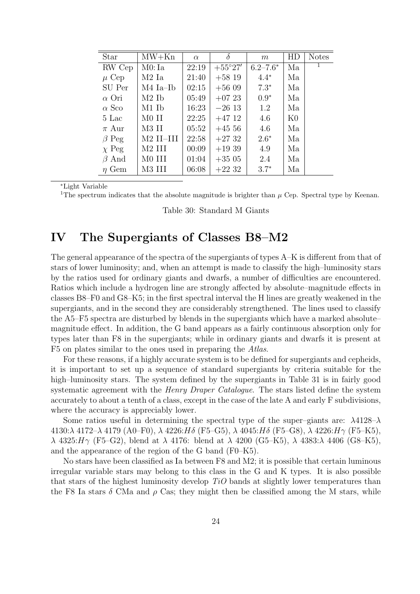| <b>Star</b>  | $MW+Kn$     | $\alpha$ | $\delta$         | m            | HD          | <b>Notes</b> |
|--------------|-------------|----------|------------------|--------------|-------------|--------------|
| RW Cep       | M0: Ia      | 22:19    | $+55^{\circ}27'$ | $6.2 - 7.6*$ | Ma          |              |
| $\mu$ Cep    | M2 Ia       | 21:40    | $+58$ 19         | $4.4*$       | Ma          |              |
| SU Per       | M4 Ia–Ib    | 02:15    | $+5609$          | $7.3*$       | Ma          |              |
| $\alpha$ Ori | M2Ib        | 05:49    | $+0723$          | $0.9*$       | Ma          |              |
| $\alpha$ Sco | M1 Ib       | 16:23    | $-2613$          | 1.2          | Ma          |              |
| $5$ Lac      | $M0$ II     | 22:25    | $+4712$          | 4.6          | $_{\rm K0}$ |              |
| $\pi$ Aur    | M3 II       | 05:52    | $+45.56$         | 4.6          | Ma          |              |
| $\beta$ Peg  | $M2$ II-III | 22:58    | $+2732$          | $2.6*$       | Ma          |              |
| $\chi$ Peg   | M2 III      | 00:09    | $+1939$          | 4.9          | Ma          |              |
| $\beta$ And  | M0 III      | 01:04    | $+3505$          | 2.4          | Ma          |              |
| $\eta$ Gem   | M3 III      | 06:08    | $+2232$          | $3.7*$       | Ma          |              |

<sup>∗</sup>Light Variable

<sup>1</sup>The spectrum indicates that the absolute magnitude is brighter than  $\mu$  Cep. Spectral type by Keenan.

Table 30: Standard M Giants

### IV The Supergiants of Classes B8–M2

The general appearance of the spectra of the supergiants of types A–K is different from that of stars of lower luminosity; and, when an attempt is made to classify the high–luminosity stars by the ratios used for ordinary giants and dwarfs, a number of difficulties are encountered. Ratios which include a hydrogen line are strongly affected by absolute–magnitude effects in classes B8–F0 and G8–K5; in the first spectral interval the H lines are greatly weakened in the supergiants, and in the second they are considerably strengthened. The lines used to classify the A5–F5 spectra are disturbed by blends in the supergiants which have a marked absolute– magnitude effect. In addition, the G band appears as a fairly continuous absorption only for types later than F8 in the supergiants; while in ordinary giants and dwarfs it is present at F5 on plates similar to the ones used in preparing the Atlas.

For these reasons, if a highly accurate system is to be defined for supergiants and cepheids, it is important to set up a sequence of standard supergiants by criteria suitable for the high–luminosity stars. The system defined by the supergiants in Table 31 is in fairly good systematic agreement with the *Henry Draper Catalogue*. The stars listed define the system accurately to about a tenth of a class, except in the case of the late A and early F subdivisions, where the accuracy is appreciably lower.

Some ratios useful in determining the spectral type of the super–giants are:  $\lambda$ 4128– $\lambda$ 4130: $\lambda$  4172– $\lambda$  4179 (A0–F0),  $\lambda$  4226:H $\delta$  (F5–G5),  $\lambda$  4045:H $\delta$  (F5–G8),  $\lambda$  4226:H $\gamma$  (F5–K5),  $\lambda$  4325:H $\gamma$  (F5–G2), blend at  $\lambda$  4176: blend at  $\lambda$  4200 (G5–K5),  $\lambda$  4383: $\lambda$  4406 (G8–K5), and the appearance of the region of the G band (F0–K5).

No stars have been classified as Ia between F8 and M2; it is possible that certain luminous irregular variable stars may belong to this class in the G and K types. It is also possible that stars of the highest luminosity develop  $TiO$  bands at slightly lower temperatures than the F8 Ia stars  $\delta$  CMa and  $\rho$  Cas; they might then be classified among the M stars, while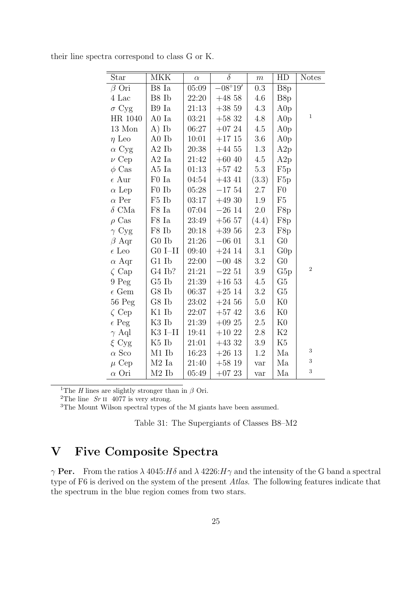| Star           | <b>MKK</b>        | $\alpha$ | $\overline{\delta}$ | $\,m$   | HD                   | <b>Notes</b>   |
|----------------|-------------------|----------|---------------------|---------|----------------------|----------------|
| $\beta$ Ori    | B8 Ia             | 05:09    | $-08^{\circ}19'$    | 0.3     | B8p                  |                |
| 4 Lac          | B8 Ib             | 22:20    | $+4858$             | 4.6     | B8p                  |                |
| $\sigma$ Cyg   | B9 Ia             | 21:13    | $+3859$             | 4.3     | A0p                  |                |
| HR 1040        | A0 Ia             | 03:21    | $+5832$             | 4.8     | A0p                  | $\,1$          |
| 13 Mon         | $A)$ Ib           | 06:27    | $+0724$             | 4.5     | A0p                  |                |
| $\eta$ Leo     | A0 Ib             | 10:01    | $+1715$             | 3.6     | A0p                  |                |
| $\alpha$ Cyg   | A2Ib              | 20:38    | $+44.55$            | 1.3     | A2p                  |                |
| $\nu$ Cep      | A <sub>2</sub> Ia | 21:42    | $+6040$             | 4.5     | A2p                  |                |
| $\phi$ Cas     | A5 Ia             | 01:13    | $+5742$             | 5.3     | $\operatorname{F5p}$ |                |
| $\epsilon$ Aur | ${\rm F0~Ia}$     | 04:54    | $+4341$             | (3.3)   | F <sub>5p</sub>      |                |
| $\alpha$ Lep   | $F0$ Ib           | 05:28    | $-1754$             | 2.7     | F <sub>0</sub>       |                |
| $\alpha$ Per   | F <sub>5</sub> Ib | 03:17    | $+4930$             | 1.9     | ${\rm F}5$           |                |
| $\delta$ CMa   | F8 Ia             | 07:04    | $-2614$             | 2.0     | F8 <sub>p</sub>      |                |
| $\rho$ Cas     | F8 Ia             | 23:49    | $+5657$             | (4.4)   | F8p                  |                |
| $\gamma$ Cyg   | F8 Ib             | 20:18    | $+3956$             | $2.3\,$ | F8p                  |                |
| $\beta$ Aqr    | $G0$ Ib           | 21:26    | $-0601$             | 3.1     | G <sub>0</sub>       |                |
| $\epsilon$ Leo | $G0$ I-II         | 09:40    | $+24$ 14            | 3.1     | G0p                  |                |
| $\alpha$ Aqr   | G1 Ib             | 22:00    | $-0048$             | 3.2     | G <sub>0</sub>       |                |
| $\zeta$ Cap    | G4 Ib?            | 21:21    | $-2251$             | 3.9     | G5p                  | $\overline{2}$ |
| 9 Peg          | G5 Ib             | 21:39    | $+16\ 53$           | 4.5     | G5                   |                |
| $\epsilon$ Gem | G8 Ib             | 06:37    | $+2514$             | 3.2     | G5                   |                |
| 56 Peg         | G8 Ib             | 23:02    | $+24.56$            | 5.0     | K <sub>0</sub>       |                |
| $\zeta$ Cep    | K1 Ib             | 22:07    | $+5742$             | 3.6     | K <sub>0</sub>       |                |
| $\epsilon$ Peg | $K3$ Ib           | 21:39    | $+0925$             | $2.5\,$ | K <sub>0</sub>       |                |
| $\gamma$ Aql   | $K3$ I $-I$ I     | 19:41    | $+1022$             | 2.8     | K <sub>2</sub>       |                |
| $\xi$ Cyg      | K5 Ib             | 21:01    | $+4332$             | 3.9     | K5                   |                |
| $\alpha$ Sco   | $M1$ Ib           | 16:23    | $+2613$             | 1.2     | Ma                   | $\,3$          |
| $\mu$ Cep      | M <sub>2</sub> Ia | 21:40    | $+5819$             | var     | Ma                   | $\sqrt{3}$     |
| $\alpha$ Ori   | $M2$ Ib           | 05:49    | $+0723$             | var     | Ma                   | $\sqrt{3}$     |

their line spectra correspond to class G or K.

<sup>1</sup>The H lines are slightly stronger than in  $\beta$  Ori.

<sup>2</sup>The line  $Sr$  II 4077 is very strong.

<sup>3</sup>The Mount Wilson spectral types of the M giants have been assumed.

Table 31: The Supergiants of Classes B8–M2

## V Five Composite Spectra

 $\gamma$  Per. From the ratios  $\lambda$  4045:H $\delta$  and  $\lambda$  4226:H $\gamma$  and the intensity of the G band a spectral type of F6 is derived on the system of the present Atlas. The following features indicate that the spectrum in the blue region comes from two stars.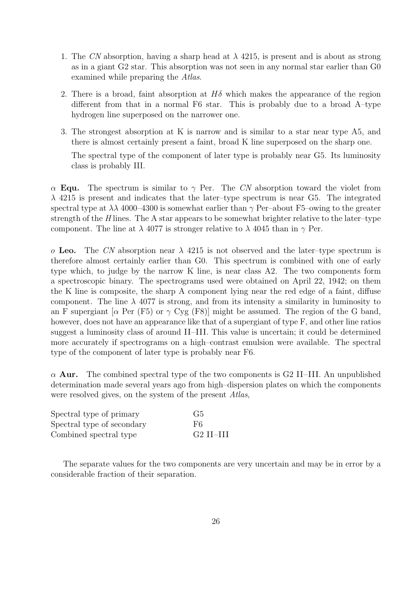- 1. The CN absorption, having a sharp head at  $\lambda$  4215, is present and is about as strong as in a giant G2 star. This absorption was not seen in any normal star earlier than G0 examined while preparing the Atlas.
- 2. There is a broad, faint absorption at  $H\delta$  which makes the appearance of the region different from that in a normal F6 star. This is probably due to a broad A–type hydrogen line superposed on the narrower one.
- 3. The strongest absorption at K is narrow and is similar to a star near type A5, and there is almost certainly present a faint, broad K line superposed on the sharp one.

The spectral type of the component of later type is probably near G5. Its luminosity class is probably III.

 $\alpha$  Equ. The spectrum is similar to  $\gamma$  Per. The CN absorption toward the violet from  $\lambda$  4215 is present and indicates that the later–type spectrum is near G5. The integrated spectral type at  $\lambda\lambda$  4000–4300 is somewhat earlier than  $\gamma$  Per–about F5–owing to the greater strength of the  $H$  lines. The A star appears to be somewhat brighter relative to the later–type component. The line at  $\lambda$  4077 is stronger relative to  $\lambda$  4045 than in  $\gamma$  Per.

o Leo. The CN absorption near  $\lambda$  4215 is not observed and the later–type spectrum is therefore almost certainly earlier than G0. This spectrum is combined with one of early type which, to judge by the narrow K line, is near class A2. The two components form a spectroscopic binary. The spectrograms used were obtained on April 22, 1942; on them the K line is composite, the sharp A component lying near the red edge of a faint, diffuse component. The line  $\lambda$  4077 is strong, and from its intensity a similarity in luminosity to an F supergiant [ $\alpha$  Per (F5) or  $\gamma$  Cyg (F8)] might be assumed. The region of the G band, however, does not have an appearance like that of a supergiant of type F, and other line ratios suggest a luminosity class of around II–III. This value is uncertain; it could be determined more accurately if spectrograms on a high–contrast emulsion were available. The spectral type of the component of later type is probably near F6.

 $\alpha$  Aur. The combined spectral type of the two components is G2 II–III. An unpublished determination made several years ago from high–dispersion plates on which the components were resolved gives, on the system of the present Atlas,

| Spectral type of primary   | G.          |
|----------------------------|-------------|
| Spectral type of secondary | -F6         |
| Combined spectral type     | $G2$ II-III |

The separate values for the two components are very uncertain and may be in error by a considerable fraction of their separation.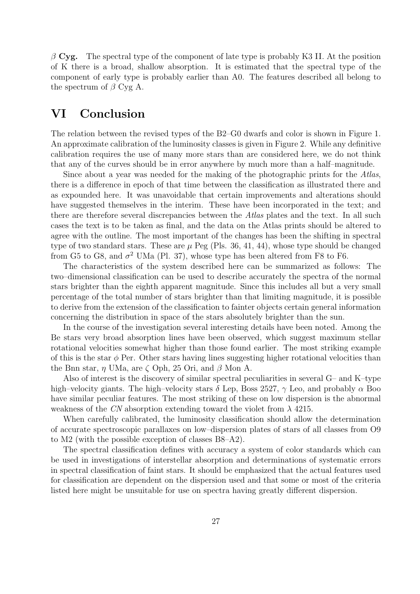$\beta$  Cyg. The spectral type of the component of late type is probably K3 II. At the position of K there is a broad, shallow absorption. It is estimated that the spectral type of the component of early type is probably earlier than A0. The features described all belong to the spectrum of  $\beta$  Cyg A.

### VI Conclusion

The relation between the revised types of the B2–G0 dwarfs and color is shown in Figure 1. An approximate calibration of the luminosity classes is given in Figure 2. While any definitive calibration requires the use of many more stars than are considered here, we do not think that any of the curves should be in error anywhere by much more than a half–magnitude.

Since about a year was needed for the making of the photographic prints for the Atlas, there is a difference in epoch of that time between the classification as illustrated there and as expounded here. It was unavoidable that certain improvements and alterations should have suggested themselves in the interim. These have been incorporated in the text; and there are therefore several discrepancies between the Atlas plates and the text. In all such cases the text is to be taken as final, and the data on the Atlas prints should be altered to agree with the outline. The most important of the changes has been the shifting in spectral type of two standard stars. These are  $\mu$  Peg (Pls. 36, 41, 44), whose type should be changed from G5 to G8, and  $\sigma^2$  UMa (Pl. 37), whose type has been altered from F8 to F6.

The characteristics of the system described here can be summarized as follows: The two–dimensional classification can be used to describe accurately the spectra of the normal stars brighter than the eighth apparent magnitude. Since this includes all but a very small percentage of the total number of stars brighter than that limiting magnitude, it is possible to derive from the extension of the classification to fainter objects certain general information concerning the distribution in space of the stars absolutely brighter than the sun.

In the course of the investigation several interesting details have been noted. Among the Be stars very broad absorption lines have been observed, which suggest maximum stellar rotational velocities somewhat higher than those found earlier. The most striking example of this is the star  $\phi$  Per. Other stars having lines suggesting higher rotational velocities than the Bnn star,  $\eta$  UMa, are  $\zeta$  Oph, 25 Ori, and  $\beta$  Mon A.

Also of interest is the discovery of similar spectral peculiarities in several G– and K–type high–velocity giants. The high–velocity stars  $\delta$  Lep, Boss 2527,  $\gamma$  Leo, and probably  $\alpha$  Boo have similar peculiar features. The most striking of these on low dispersion is the abnormal weakness of the CN absorption extending toward the violet from  $\lambda$  4215.

When carefully calibrated, the luminosity classification should allow the determination of accurate spectroscopic parallaxes on low–dispersion plates of stars of all classes from O9 to M2 (with the possible exception of classes B8–A2).

The spectral classification defines with accuracy a system of color standards which can be used in investigations of interstellar absorption and determinations of systematic errors in spectral classification of faint stars. It should be emphasized that the actual features used for classification are dependent on the dispersion used and that some or most of the criteria listed here might be unsuitable for use on spectra having greatly different dispersion.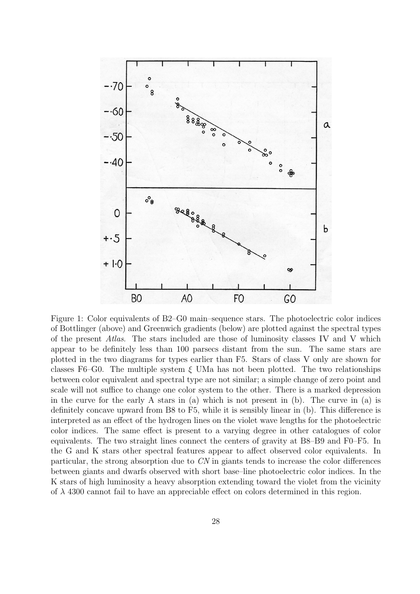

Figure 1: Color equivalents of B2–G0 main–sequence stars. The photoelectric color indices of Bottlinger (above) and Greenwich gradients (below) are plotted against the spectral types of the present Atlas. The stars included are those of luminosity classes IV and V which appear to be definitely less than 100 parsecs distant from the sun. The same stars are plotted in the two diagrams for types earlier than F5. Stars of class V only are shown for classes F6–G0. The multiple system  $\xi$  UMa has not been plotted. The two relationships between color equivalent and spectral type are not similar; a simple change of zero point and scale will not suffice to change one color system to the other. There is a marked depression in the curve for the early A stars in (a) which is not present in (b). The curve in (a) is definitely concave upward from B8 to F5, while it is sensibly linear in (b). This difference is interpreted as an effect of the hydrogen lines on the violet wave lengths for the photoelectric color indices. The same effect is present to a varying degree in other catalogues of color equivalents. The two straight lines connect the centers of gravity at B8–B9 and F0–F5. In the G and K stars other spectral features appear to affect observed color equivalents. In particular, the strong absorption due to CN in giants tends to increase the color differences between giants and dwarfs observed with short base–line photoelectric color indices. In the K stars of high luminosity a heavy absorption extending toward the violet from the vicinity of  $\lambda$  4300 cannot fail to have an appreciable effect on colors determined in this region.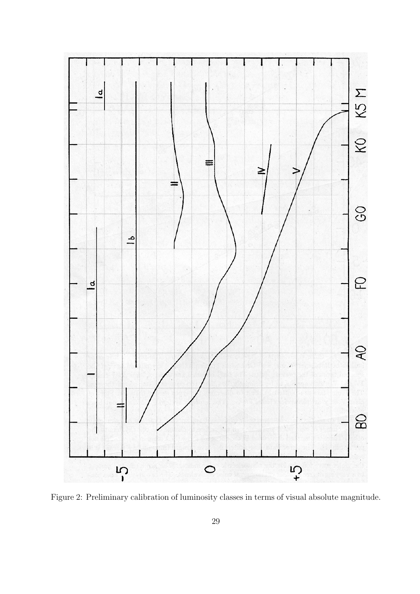

Figure 2: Preliminary calibration of luminosity classes in terms of visual absolute magnitude.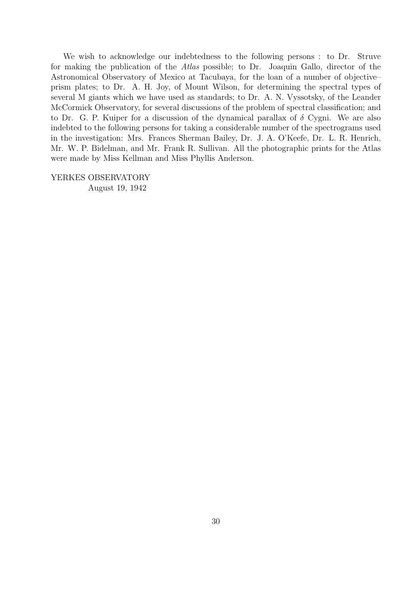We wish to acknowledge our indebtedness to the following persons : to Dr. Struve for making the publication of the Atlas possible; to Dr. Joaquin Gallo, director of the Astronomical Observatory of Mexico at Tacubaya, for the loan of a number of objective– prism plates; to Dr. A. H. Joy, of Mount Wilson, for determining the spectral types of several M giants which we have used as standards; to Dr. A. N. Vyssotsky, of the Leander McCormick Observatory, for several discussions of the problem of spectral classification; and to Dr. G. P. Kuiper for a discussion of the dynamical parallax of  $\delta$  Cygni. We are also indebted to the following persons for taking a considerable number of the spectrograms used in the investigation: Mrs. Frances Sherman Bailey, Dr. J. A. O'Keefe, Dr. L. R. Henrich, Mr. W. P. Bidelman, and Mr. Frank R. Sullivan. All the photographic prints for the Atlas were made by Miss Kellman and Miss Phyllis Anderson.

YERKES OBSERVATORY August 19, 1942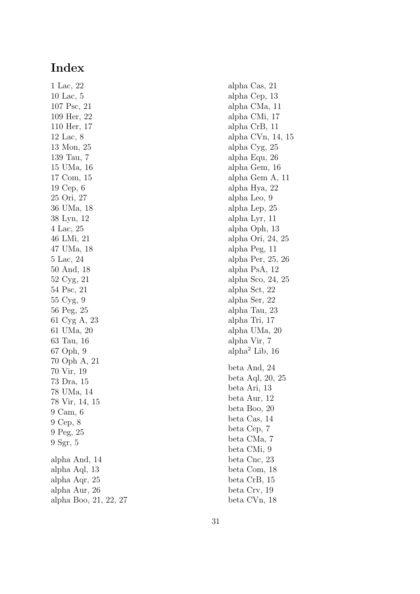## Index

alpha Cas, 21 alpha Cep, 13 alpha CMa, 11 alpha CMi, 17 alpha CrB, 11 alpha CVn, 14, 15 alpha Cyg, 25 alpha Equ, 26 alpha Gem, 16 alpha Gem A, 11 alpha Hya, 22 alpha Leo, 9 alpha Lep, 25 alpha Lyr, 11 alpha Oph, 13 alpha Ori, 24, 25 alpha Peg, 11 alpha Per, 25, 26 alpha PsA, 12 alpha Sco, 24, 25 alpha Sct, 22 alpha Ser, 22 alpha Tau, 23 alpha Tri, 17 alpha UMa, 20 alpha Vir, 7 alpha <sup>2</sup> Lib, 16 beta And, 24 beta Aql, 20, 25 beta Ari, 13 beta Aur, 12 beta Boo, 20 beta Cas, 14 beta Cep, 7 beta CMa, 7 beta CMi, 9 beta Cnc, 23 beta Com, 18 beta CrB, 15 beta Crv, 19 beta CVn, 18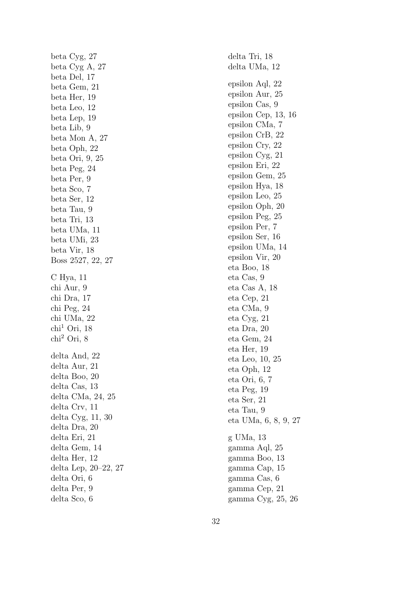beta Cyg, 27 beta Cyg A, 27 beta Del, 17 beta Gem, 21 beta Her, 19 beta Leo, 12 beta Lep, 19 beta Lib, 9 beta Mon A, 27 beta Oph, 22 beta Ori, 9, 25 beta Peg, 24 beta Per, 9 beta Sco, 7 beta Ser, 12 beta Tau, 9 beta Tri, 13 beta UMa, 11 beta UMi, 23 beta Vir, 18 Boss 2527, 22, 27 C Hya, 11 chi Aur, 9 chi Dra, 17 chi Peg, 24 chi UMa, 22 chi <sup>1</sup> Ori, 18 chi <sup>2</sup> Ori, 8 delta And, 22 delta Aur, 21 delta Boo, 20 delta Cas, 13 delta CMa, 24, 25 delta Crv, 11 delta Cyg, 11, 30 delta Dra, 20 delta Eri, 21 delta Gem, 14 delta Her, 12 delta Lep, 20–22, 27 delta Ori, 6 delta Per, 9 delta Sco, 6

delta Tri, 18 delta UMa, 12 epsilon Aql, 22 epsilon Aur, 25 epsilon Cas, 9 epsilon Cep, 13, 16 epsilon CMa, 7 epsilon CrB, 22 epsilon Cry, 22 epsilon Cyg, 21 epsilon Eri, 22 epsilon Gem, 25 epsilon Hya, 18 epsilon Leo, 25 epsilon Oph, 20 epsilon Peg, 25 epsilon Per, 7 epsilon Ser, 16 epsilon UMa, 14 epsilon Vir, 20 eta Boo, 18 eta Cas, 9 eta Cas A, 18 eta Cep, 21 eta CMa, 9 eta Cyg, 21 eta Dra, 20 eta Gem, 24 eta Her, 19 eta Leo, 10, 25 eta Oph, 12 eta Ori, 6, 7 eta Peg, 19 eta Ser, 21 eta Tau, 9 eta UMa, 6, 8, 9, 27 g UMa, 13 gamma Aql, 25 gamma Boo, 13 gamma Cap, 15 gamma Cas, 6 gamma Cep, 21 gamma Cyg, 25, 26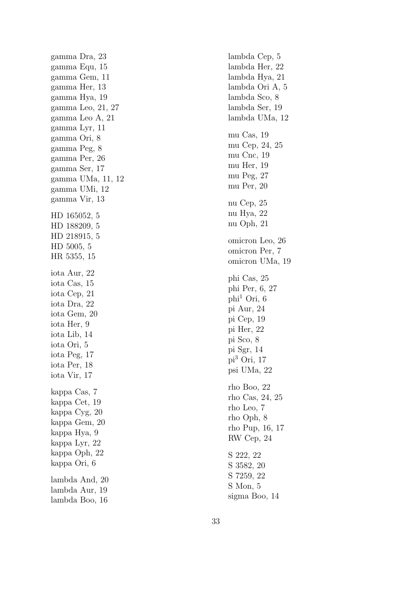gamma Dra, 23 gamma Equ, 15 gamma Gem, 11 gamma Her, 13 gamma Hya, 19 gamma Leo, 21, 27 gamma Leo A, 21 gamma Lyr, 11 gamma Ori, 8 gamma Peg, 8 gamma Per, 26 gamma Ser, 17 gamma UMa, 11, 12 gamma UMi, 12 gamma Vir, 13 HD 165052, 5 HD 188209, 5 HD 218915, 5 HD 5005, 5 HR 5355, 15 iota Aur, 22 iota Cas, 15 iota Cep, 21 iota Dra, 22 iota Gem, 20 iota Her, 9 iota Lib, 14 iota Ori, 5 iota Peg, 17 iota Per, 18 iota Vir, 17 kappa Cas, 7 kappa Cet, 19 kappa Cyg, 20 kappa Gem, 20 kappa Hya, 9 kappa Lyr, 22 kappa Oph, 22 kappa Ori, 6 lambda And, 20 lambda Aur, 19 lambda Boo, 16

lambda Cep, 5 lambda Her, 22 lambda Hya, 21 lambda Ori A, 5 lambda Sco, 8 lambda Ser, 19 lambda UMa, 12 mu Cas, 19 mu Cep, 24, 25 mu Cnc, 19 mu Her, 19 mu Peg, 27 mu Per, 20 nu Cep, 25 nu Hya, 22 nu Oph, 21 omicron Leo, 26 omicron Per, 7 omicron UMa, 19 phi Cas, 25 phi Per, 6, 27 phi <sup>1</sup> Ori, 6 pi Aur, 24 pi Cep, 19 pi Her, 22 pi Sco, 8 pi Sgr, 14 pi <sup>3</sup> Ori, 17 psi UMa, 22 rho Boo, 22 rho Cas, 24, 25 rho Leo, 7 rho Oph, 8 rho Pup, 16, 17 RW Cep, 24 S 222, 22 S 3582, 20 S 7259, 22 S Mon, 5 sigma Boo, 14